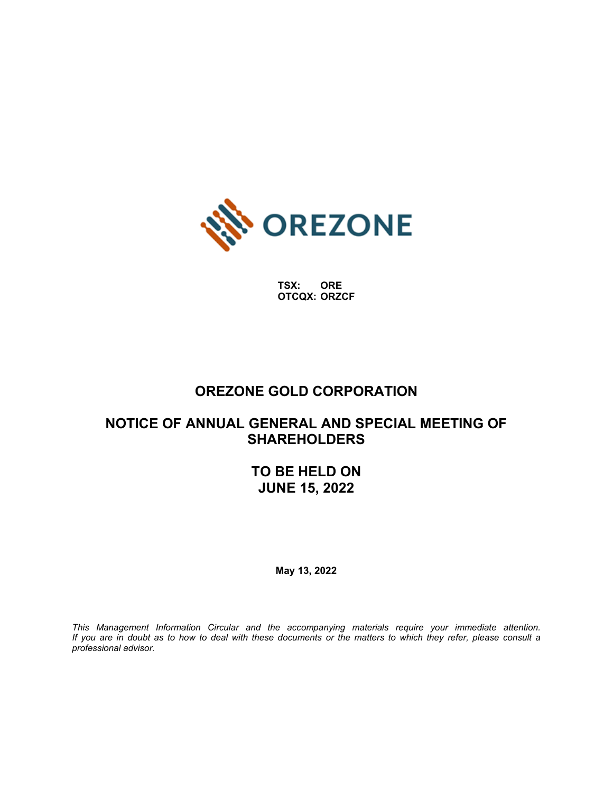

**TSX: ORE OTCQX: ORZCF**

# **OREZONE GOLD CORPORATION**

# **NOTICE OF ANNUAL GENERAL AND SPECIAL MEETING OF SHAREHOLDERS**

**TO BE HELD ON JUNE 15, 2022**

**May 13, 2022**

*This Management Information Circular and the accompanying materials require your immediate attention. If you are in doubt as to how to deal with these documents or the matters to which they refer, please consult a professional advisor.*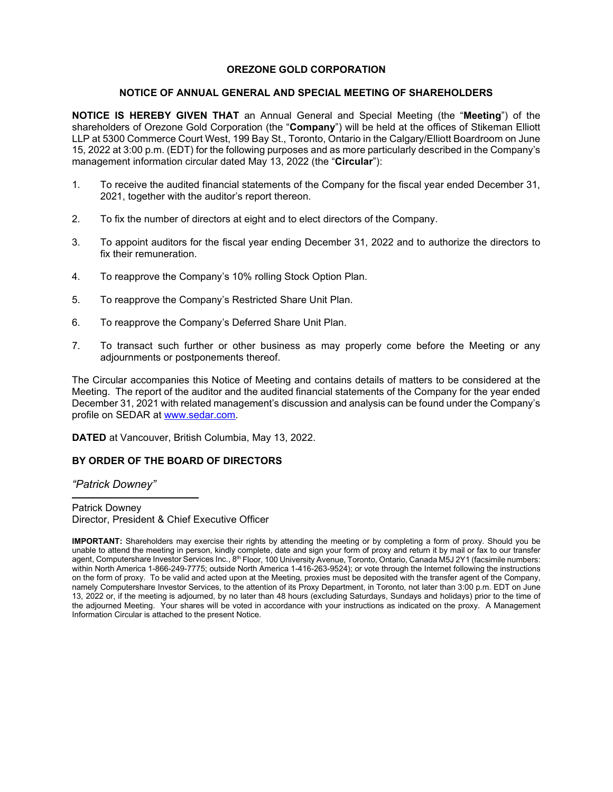### **OREZONE GOLD CORPORATION**

### **NOTICE OF ANNUAL GENERAL AND SPECIAL MEETING OF SHAREHOLDERS**

**NOTICE IS HEREBY GIVEN THAT** an Annual General and Special Meeting (the "**Meeting**") of the shareholders of Orezone Gold Corporation (the "**Company**") will be held at the offices of Stikeman Elliott LLP at 5300 Commerce Court West, 199 Bay St., Toronto, Ontario in the Calgary/Elliott Boardroom on June 15, 2022 at 3:00 p.m. (EDT) for the following purposes and as more particularly described in the Company's management information circular dated May 13, 2022 (the "**Circular**"):

- 1. To receive the audited financial statements of the Company for the fiscal year ended December 31, 2021, together with the auditor's report thereon.
- 2. To fix the number of directors at eight and to elect directors of the Company.
- 3. To appoint auditors for the fiscal year ending December 31, 2022 and to authorize the directors to fix their remuneration.
- 4. To reapprove the Company's 10% rolling Stock Option Plan.
- 5. To reapprove the Company's Restricted Share Unit Plan.
- 6. To reapprove the Company's Deferred Share Unit Plan.
- 7. To transact such further or other business as may properly come before the Meeting or any adjournments or postponements thereof.

The Circular accompanies this Notice of Meeting and contains details of matters to be considered at the Meeting. The report of the auditor and the audited financial statements of the Company for the year ended December 31, 2021 with related management's discussion and analysis can be found under the Company's profile on SEDAR at [www.sedar.com.](http://www.sedar.com/)

**DATED** at Vancouver, British Columbia, May 13, 2022.

### **BY ORDER OF THE BOARD OF DIRECTORS**

*"Patrick Downey"*

Patrick Downey Director, President & Chief Executive Officer

**IMPORTANT:** Shareholders may exercise their rights by attending the meeting or by completing a form of proxy. Should you be unable to attend the meeting in person, kindly complete, date and sign your form of proxy and return it by mail or fax to our transfer agent, Computershare Investor Services Inc., 8<sup>th</sup> Floor, 100 University Avenue, Toronto, Ontario, Canada M5J 2Y1 (facsimile numbers: within North America 1-866-249-7775; outside North America 1-416-263-9524); or vote through the Internet following the instructions on the form of proxy. To be valid and acted upon at the Meeting, proxies must be deposited with the transfer agent of the Company, namely Computershare Investor Services, to the attention of its Proxy Department, in Toronto, not later than 3:00 p.m. EDT on June 13, 2022 or, if the meeting is adjourned, by no later than 48 hours (excluding Saturdays, Sundays and holidays) prior to the time of the adjourned Meeting. Your shares will be voted in accordance with your instructions as indicated on the proxy. A Management Information Circular is attached to the present Notice.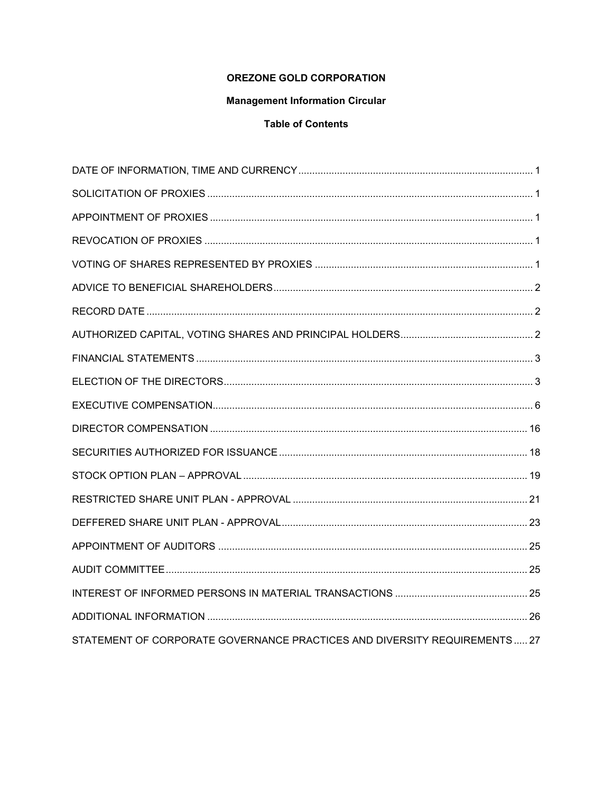## **OREZONE GOLD CORPORATION**

# **Management Information Circular**

# **Table of Contents**

| STATEMENT OF CORPORATE GOVERNANCE PRACTICES AND DIVERSITY REQUIREMENTS 27 |  |
|---------------------------------------------------------------------------|--|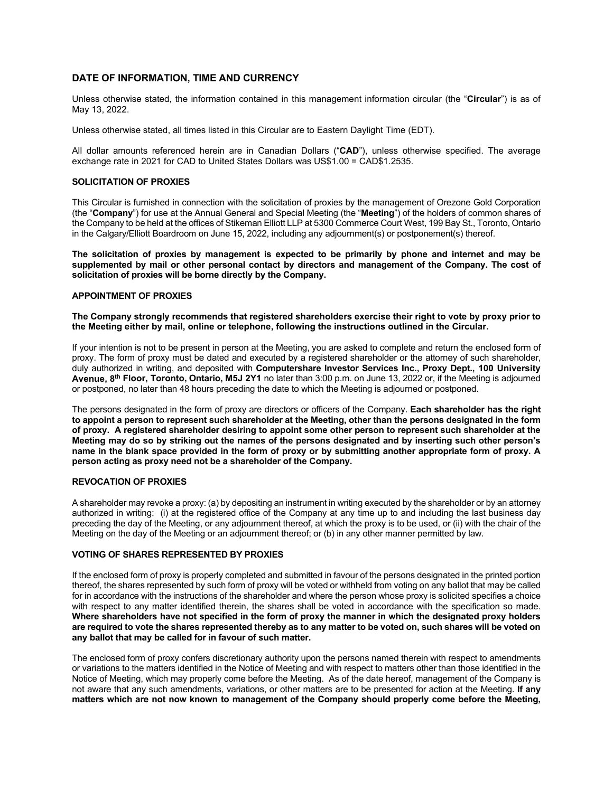### <span id="page-3-0"></span>**DATE OF INFORMATION, TIME AND CURRENCY**

Unless otherwise stated, the information contained in this management information circular (the "**Circular**") is as of May 13, 2022.

Unless otherwise stated, all times listed in this Circular are to Eastern Daylight Time (EDT).

All dollar amounts referenced herein are in Canadian Dollars ("**CAD**"), unless otherwise specified. The average exchange rate in 2021 for CAD to United States Dollars was US\$1.00 = CAD\$1.2535.

### <span id="page-3-1"></span>**SOLICITATION OF PROXIES**

This Circular is furnished in connection with the solicitation of proxies by the management of Orezone Gold Corporation (the "**Company**") for use at the Annual General and Special Meeting (the "**Meeting**") of the holders of common shares of the Company to be held at the offices of Stikeman Elliott LLP at 5300 Commerce Court West, 199 Bay St., Toronto, Ontario in the Calgary/Elliott Boardroom on June 15, 2022, including any adjournment(s) or postponement(s) thereof.

**The solicitation of proxies by management is expected to be primarily by phone and internet and may be supplemented by mail or other personal contact by directors and management of the Company. The cost of solicitation of proxies will be borne directly by the Company.**

### <span id="page-3-2"></span>**APPOINTMENT OF PROXIES**

**The Company strongly recommends that registered shareholders exercise their right to vote by proxy prior to the Meeting either by mail, online or telephone, following the instructions outlined in the Circular.** 

If your intention is not to be present in person at the Meeting, you are asked to complete and return the enclosed form of proxy. The form of proxy must be dated and executed by a registered shareholder or the attorney of such shareholder, duly authorized in writing, and deposited with **Computershare Investor Services Inc., Proxy Dept., 100 University Avenue, 8th Floor, Toronto, Ontario, M5J 2Y1** no later than 3:00 p.m. on June 13, 2022 or, if the Meeting is adjourned or postponed, no later than 48 hours preceding the date to which the Meeting is adjourned or postponed.

The persons designated in the form of proxy are directors or officers of the Company. **Each shareholder has the right to appoint a person to represent such shareholder at the Meeting, other than the persons designated in the form of proxy. A registered shareholder desiring to appoint some other person to represent such shareholder at the Meeting may do so by striking out the names of the persons designated and by inserting such other person's name in the blank space provided in the form of proxy or by submitting another appropriate form of proxy. A person acting as proxy need not be a shareholder of the Company.**

### <span id="page-3-3"></span>**REVOCATION OF PROXIES**

A shareholder may revoke a proxy: (a) by depositing an instrument in writing executed by the shareholder or by an attorney authorized in writing: (i) at the registered office of the Company at any time up to and including the last business day preceding the day of the Meeting, or any adjournment thereof, at which the proxy is to be used, or (ii) with the chair of the Meeting on the day of the Meeting or an adjournment thereof; or (b) in any other manner permitted by law.

### <span id="page-3-4"></span>**VOTING OF SHARES REPRESENTED BY PROXIES**

If the enclosed form of proxy is properly completed and submitted in favour of the persons designated in the printed portion thereof, the shares represented by such form of proxy will be voted or withheld from voting on any ballot that may be called for in accordance with the instructions of the shareholder and where the person whose proxy is solicited specifies a choice with respect to any matter identified therein, the shares shall be voted in accordance with the specification so made. **Where shareholders have not specified in the form of proxy the manner in which the designated proxy holders are required to vote the shares represented thereby as to any matter to be voted on, such shares will be voted on any ballot that may be called for in favour of such matter.**

The enclosed form of proxy confers discretionary authority upon the persons named therein with respect to amendments or variations to the matters identified in the Notice of Meeting and with respect to matters other than those identified in the Notice of Meeting, which may properly come before the Meeting. As of the date hereof, management of the Company is not aware that any such amendments, variations, or other matters are to be presented for action at the Meeting. **If any matters which are not now known to management of the Company should properly come before the Meeting,**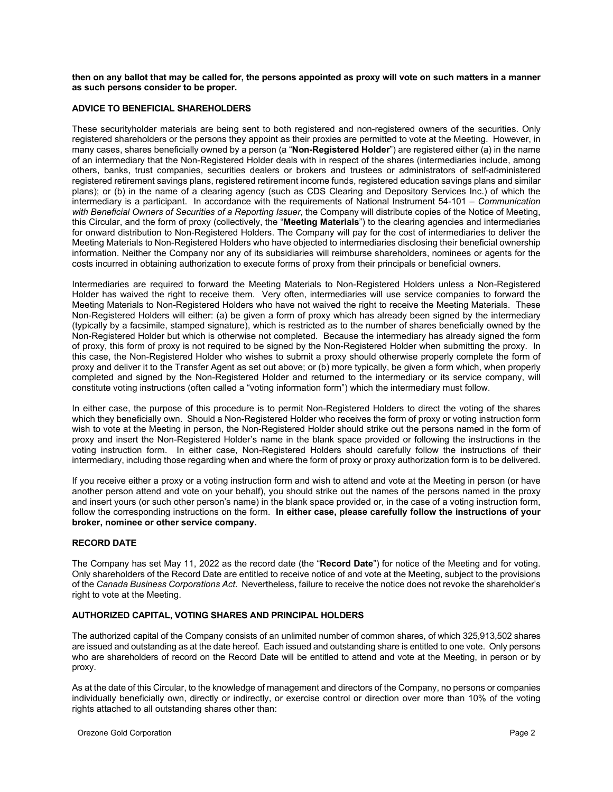**then on any ballot that may be called for, the persons appointed as proxy will vote on such matters in a manner as such persons consider to be proper.**

### <span id="page-4-0"></span>**ADVICE TO BENEFICIAL SHAREHOLDERS**

These securityholder materials are being sent to both registered and non-registered owners of the securities. Only registered shareholders or the persons they appoint as their proxies are permitted to vote at the Meeting. However, in many cases, shares beneficially owned by a person (a "**Non-Registered Holder**") are registered either (a) in the name of an intermediary that the Non-Registered Holder deals with in respect of the shares (intermediaries include, among others, banks, trust companies, securities dealers or brokers and trustees or administrators of self-administered registered retirement savings plans, registered retirement income funds, registered education savings plans and similar plans); or (b) in the name of a clearing agency (such as CDS Clearing and Depository Services Inc.) of which the intermediary is a participant. In accordance with the requirements of National Instrument 54-101 – *Communication with Beneficial Owners of Securities of a Reporting Issuer*, the Company will distribute copies of the Notice of Meeting, this Circular, and the form of proxy (collectively, the "**Meeting Materials**") to the clearing agencies and intermediaries for onward distribution to Non-Registered Holders. The Company will pay for the cost of intermediaries to deliver the Meeting Materials to Non-Registered Holders who have objected to intermediaries disclosing their beneficial ownership information. Neither the Company nor any of its subsidiaries will reimburse shareholders, nominees or agents for the costs incurred in obtaining authorization to execute forms of proxy from their principals or beneficial owners.

Intermediaries are required to forward the Meeting Materials to Non-Registered Holders unless a Non-Registered Holder has waived the right to receive them. Very often, intermediaries will use service companies to forward the Meeting Materials to Non-Registered Holders who have not waived the right to receive the Meeting Materials. These Non-Registered Holders will either: (a) be given a form of proxy which has already been signed by the intermediary (typically by a facsimile, stamped signature), which is restricted as to the number of shares beneficially owned by the Non-Registered Holder but which is otherwise not completed. Because the intermediary has already signed the form of proxy, this form of proxy is not required to be signed by the Non-Registered Holder when submitting the proxy. In this case, the Non-Registered Holder who wishes to submit a proxy should otherwise properly complete the form of proxy and deliver it to the Transfer Agent as set out above; or (b) more typically, be given a form which, when properly completed and signed by the Non-Registered Holder and returned to the intermediary or its service company, will constitute voting instructions (often called a "voting information form") which the intermediary must follow.

In either case, the purpose of this procedure is to permit Non-Registered Holders to direct the voting of the shares which they beneficially own. Should a Non-Registered Holder who receives the form of proxy or voting instruction form wish to vote at the Meeting in person, the Non-Registered Holder should strike out the persons named in the form of proxy and insert the Non-Registered Holder's name in the blank space provided or following the instructions in the voting instruction form. In either case, Non-Registered Holders should carefully follow the instructions of their intermediary, including those regarding when and where the form of proxy or proxy authorization form is to be delivered.

If you receive either a proxy or a voting instruction form and wish to attend and vote at the Meeting in person (or have another person attend and vote on your behalf), you should strike out the names of the persons named in the proxy and insert yours (or such other person's name) in the blank space provided or, in the case of a voting instruction form, follow the corresponding instructions on the form. **In either case, please carefully follow the instructions of your broker, nominee or other service company.**

### <span id="page-4-1"></span>**RECORD DATE**

The Company has set May 11, 2022 as the record date (the "**Record Date**") for notice of the Meeting and for voting. Only shareholders of the Record Date are entitled to receive notice of and vote at the Meeting, subject to the provisions of the *Canada Business Corporations Act*. Nevertheless, failure to receive the notice does not revoke the shareholder's right to vote at the Meeting.

### <span id="page-4-2"></span>**AUTHORIZED CAPITAL, VOTING SHARES AND PRINCIPAL HOLDERS**

The authorized capital of the Company consists of an unlimited number of common shares, of which 325,913,502 shares are issued and outstanding as at the date hereof. Each issued and outstanding share is entitled to one vote. Only persons who are shareholders of record on the Record Date will be entitled to attend and vote at the Meeting, in person or by proxy.

As at the date of this Circular, to the knowledge of management and directors of the Company, no persons or companies individually beneficially own, directly or indirectly, or exercise control or direction over more than 10% of the voting rights attached to all outstanding shares other than: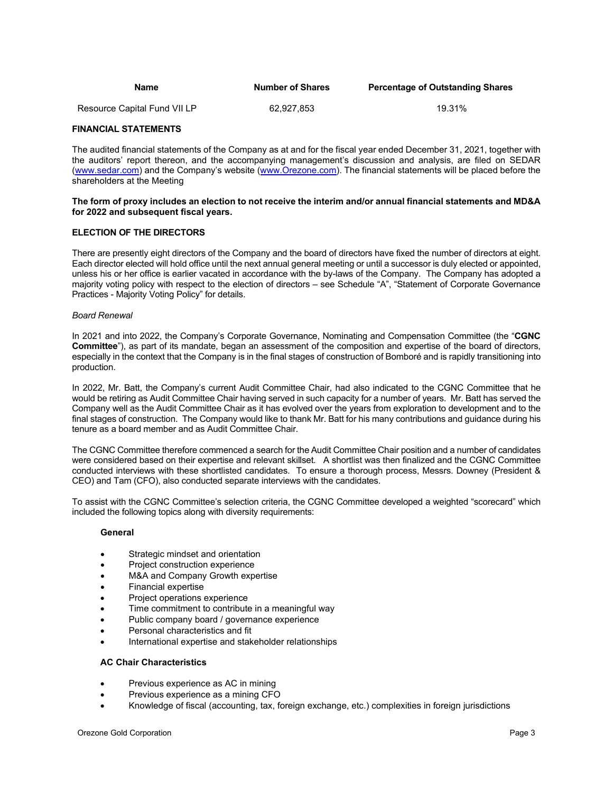| Name                         | <b>Number of Shares</b> | <b>Percentage of Outstanding Shares</b> |
|------------------------------|-------------------------|-----------------------------------------|
| Resource Capital Fund VII LP | 62.927.853              | 19.31%                                  |

### <span id="page-5-0"></span>**FINANCIAL STATEMENTS**

The audited financial statements of the Company as at and for the fiscal year ended December 31, 2021, together with the auditors' report thereon, and the accompanying management's discussion and analysis, are filed on SEDAR [\(www.sedar.com\)](http://www.sedar.com/) and the Company's website [\(www.Orezone.com\)](http://www.orezone.com/). The financial statements will be placed before the shareholders at the Meeting

### **The form of proxy includes an election to not receive the interim and/or annual financial statements and MD&A for 2022 and subsequent fiscal years.**

### <span id="page-5-1"></span>**ELECTION OF THE DIRECTORS**

There are presently eight directors of the Company and the board of directors have fixed the number of directors at eight. Each director elected will hold office until the next annual general meeting or until a successor is duly elected or appointed, unless his or her office is earlier vacated in accordance with the by-laws of the Company. The Company has adopted a majority voting policy with respect to the election of directors – see Schedule "A", "Statement of Corporate Governance Practices - Majority Voting Policy" for details.

### *Board Renewal*

In 2021 and into 2022, the Company's Corporate Governance, Nominating and Compensation Committee (the "**CGNC Committee**"), as part of its mandate, began an assessment of the composition and expertise of the board of directors, especially in the context that the Company is in the final stages of construction of Bomboré and is rapidly transitioning into production.

In 2022, Mr. Batt, the Company's current Audit Committee Chair, had also indicated to the CGNC Committee that he would be retiring as Audit Committee Chair having served in such capacity for a number of years. Mr. Batt has served the Company well as the Audit Committee Chair as it has evolved over the years from exploration to development and to the final stages of construction. The Company would like to thank Mr. Batt for his many contributions and guidance during his tenure as a board member and as Audit Committee Chair.

The CGNC Committee therefore commenced a search for the Audit Committee Chair position and a number of candidates were considered based on their expertise and relevant skillset. A shortlist was then finalized and the CGNC Committee conducted interviews with these shortlisted candidates. To ensure a thorough process, Messrs. Downey (President & CEO) and Tam (CFO), also conducted separate interviews with the candidates.

To assist with the CGNC Committee's selection criteria, the CGNC Committee developed a weighted "scorecard" which included the following topics along with diversity requirements:

### **General**

- Strategic mindset and orientation
- Project construction experience
- M&A and Company Growth expertise
- Financial expertise
- Project operations experience
- Time commitment to contribute in a meaningful way
- Public company board / governance experience
- Personal characteristics and fit
- International expertise and stakeholder relationships

### **AC Chair Characteristics**

- Previous experience as AC in mining
- Previous experience as a mining CFO
- Knowledge of fiscal (accounting, tax, foreign exchange, etc.) complexities in foreign jurisdictions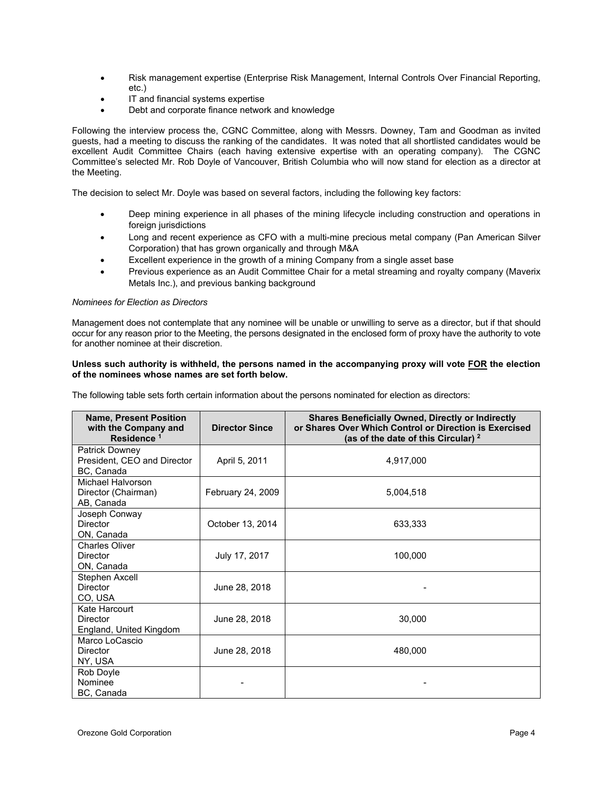- Risk management expertise (Enterprise Risk Management, Internal Controls Over Financial Reporting, etc.)
- IT and financial systems expertise
- Debt and corporate finance network and knowledge

Following the interview process the, CGNC Committee, along with Messrs. Downey, Tam and Goodman as invited guests, had a meeting to discuss the ranking of the candidates. It was noted that all shortlisted candidates would be excellent Audit Committee Chairs (each having extensive expertise with an operating company). The CGNC Committee's selected Mr. Rob Doyle of Vancouver, British Columbia who will now stand for election as a director at the Meeting.

The decision to select Mr. Doyle was based on several factors, including the following key factors:

- Deep mining experience in all phases of the mining lifecycle including construction and operations in foreign jurisdictions
- Long and recent experience as CFO with a multi-mine precious metal company (Pan American Silver Corporation) that has grown organically and through M&A
- Excellent experience in the growth of a mining Company from a single asset base
- Previous experience as an Audit Committee Chair for a metal streaming and royalty company (Maverix Metals Inc.), and previous banking background

### *Nominees for Election as Directors*

Management does not contemplate that any nominee will be unable or unwilling to serve as a director, but if that should occur for any reason prior to the Meeting, the persons designated in the enclosed form of proxy have the authority to vote for another nominee at their discretion.

### **Unless such authority is withheld, the persons named in the accompanying proxy will vote FOR the election of the nominees whose names are set forth below.**

The following table sets forth certain information about the persons nominated for election as directors:

| <b>Name, Present Position</b><br>with the Company and<br>Residence <sup>1</sup> | <b>Director Since</b> | <b>Shares Beneficially Owned, Directly or Indirectly</b><br>or Shares Over Which Control or Direction is Exercised<br>(as of the date of this Circular) <sup>2</sup> |
|---------------------------------------------------------------------------------|-----------------------|----------------------------------------------------------------------------------------------------------------------------------------------------------------------|
| <b>Patrick Downey</b><br>President, CEO and Director<br>BC, Canada              | April 5, 2011         | 4,917,000                                                                                                                                                            |
| Michael Halvorson<br>Director (Chairman)<br>AB, Canada                          | February 24, 2009     | 5,004,518                                                                                                                                                            |
| Joseph Conway<br><b>Director</b><br>ON, Canada                                  | October 13, 2014      | 633,333                                                                                                                                                              |
| <b>Charles Oliver</b><br><b>Director</b><br>ON, Canada                          | July 17, 2017         | 100,000                                                                                                                                                              |
| Stephen Axcell<br><b>Director</b><br>CO, USA                                    | June 28, 2018         |                                                                                                                                                                      |
| Kate Harcourt<br><b>Director</b><br>England, United Kingdom                     | June 28, 2018         | 30,000                                                                                                                                                               |
| Marco LoCascio<br><b>Director</b><br>NY, USA                                    | June 28, 2018         | 480,000                                                                                                                                                              |
| Rob Doyle<br>Nominee<br>BC, Canada                                              |                       |                                                                                                                                                                      |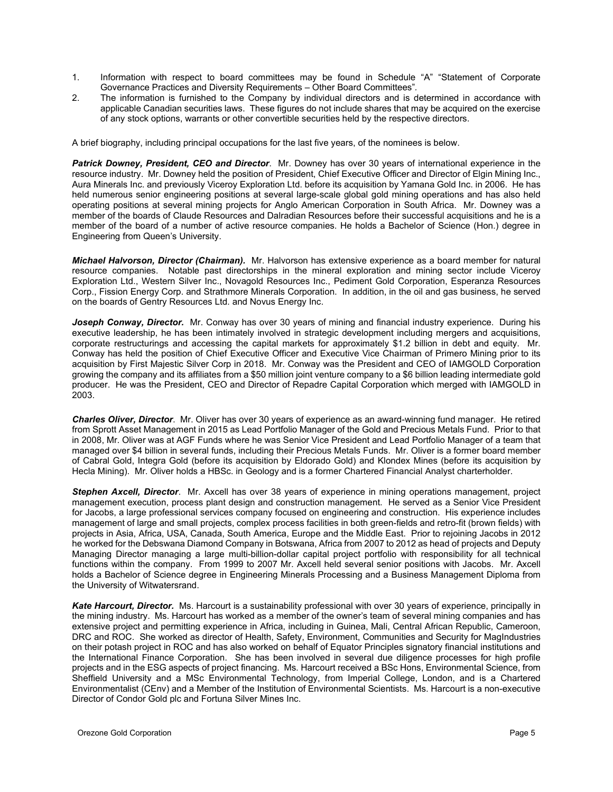- 1. Information with respect to board committees may be found in Schedule "A" "Statement of Corporate Governance Practices and Diversity Requirements – Other Board Committees"*.*
- 2. The information is furnished to the Company by individual directors and is determined in accordance with applicable Canadian securities laws. These figures do not include shares that may be acquired on the exercise of any stock options, warrants or other convertible securities held by the respective directors.

A brief biography, including principal occupations for the last five years, of the nominees is below.

*Patrick Downey, President, CEO and Director*. Mr. Downey has over 30 years of international experience in the resource industry. Mr. Downey held the position of President, Chief Executive Officer and Director of Elgin Mining Inc., Aura Minerals Inc. and previously Viceroy Exploration Ltd. before its acquisition by Yamana Gold Inc. in 2006. He has held numerous senior engineering positions at several large-scale global gold mining operations and has also held operating positions at several mining projects for Anglo American Corporation in South Africa. Mr. Downey was a member of the boards of Claude Resources and Dalradian Resources before their successful acquisitions and he is a member of the board of a number of active resource companies. He holds a Bachelor of Science (Hon.) degree in Engineering from Queen's University.

*Michael Halvorson, Director (Chairman).* Mr. Halvorson has extensive experience as a board member for natural resource companies. Notable past directorships in the mineral exploration and mining sector include Viceroy Exploration Ltd., Western Silver Inc., Novagold Resources Inc., Pediment Gold Corporation, Esperanza Resources Corp., Fission Energy Corp. and Strathmore Minerals Corporation. In addition, in the oil and gas business, he served on the boards of Gentry Resources Ltd. and Novus Energy Inc.

*Joseph Conway, Director.* Mr. Conway has over 30 years of mining and financial industry experience. During his executive leadership, he has been intimately involved in strategic development including mergers and acquisitions, corporate restructurings and accessing the capital markets for approximately \$1.2 billion in debt and equity. Mr. Conway has held the position of Chief Executive Officer and Executive Vice Chairman of Primero Mining prior to its acquisition by First Majestic Silver Corp in 2018. Mr. Conway was the President and CEO of IAMGOLD Corporation growing the company and its affiliates from a \$50 million joint venture company to a \$6 billion leading intermediate gold producer. He was the President, CEO and Director of Repadre Capital Corporation which merged with IAMGOLD in 2003.

*Charles Oliver, Director*. Mr. Oliver has over 30 years of experience as an award-winning fund manager. He retired from Sprott Asset Management in 2015 as Lead Portfolio Manager of the Gold and Precious Metals Fund. Prior to that in 2008, Mr. Oliver was at AGF Funds where he was Senior Vice President and Lead Portfolio Manager of a team that managed over \$4 billion in several funds, including their Precious Metals Funds. Mr. Oliver is a former board member of Cabral Gold, Integra Gold (before its acquisition by Eldorado Gold) and Klondex Mines (before its acquisition by Hecla Mining). Mr. Oliver holds a HBSc. in Geology and is a former Chartered Financial Analyst charterholder.

*Stephen Axcell, Director*. Mr. Axcell has over 38 years of experience in mining operations management, project management execution, process plant design and construction management. He served as a Senior Vice President for Jacobs, a large professional services company focused on engineering and construction. His experience includes management of large and small projects, complex process facilities in both green-fields and retro-fit (brown fields) with projects in Asia, Africa, USA, Canada, South America, Europe and the Middle East. Prior to rejoining Jacobs in 2012 he worked for the Debswana Diamond Company in Botswana, Africa from 2007 to 2012 as head of projects and Deputy Managing Director managing a large multi-billion-dollar capital project portfolio with responsibility for all technical functions within the company. From 1999 to 2007 Mr. Axcell held several senior positions with Jacobs. Mr. Axcell holds a Bachelor of Science degree in Engineering Minerals Processing and a Business Management Diploma from the University of Witwatersrand.

*Kate Harcourt, Director.* Ms. Harcourt is a sustainability professional with over 30 years of experience, principally in the mining industry. Ms. Harcourt has worked as a member of the owner's team of several mining companies and has extensive project and permitting experience in Africa, including in Guinea, Mali, Central African Republic, Cameroon, DRC and ROC. She worked as director of Health, Safety, Environment, Communities and Security for MagIndustries on their potash project in ROC and has also worked on behalf of Equator Principles signatory financial institutions and the International Finance Corporation. She has been involved in several due diligence processes for high profile projects and in the ESG aspects of project financing. Ms. Harcourt received a BSc Hons, Environmental Science, from Sheffield University and a MSc Environmental Technology, from Imperial College, London, and is a Chartered Environmentalist (CEnv) and a Member of the Institution of Environmental Scientists. Ms. Harcourt is a non-executive Director of Condor Gold plc and Fortuna Silver Mines Inc.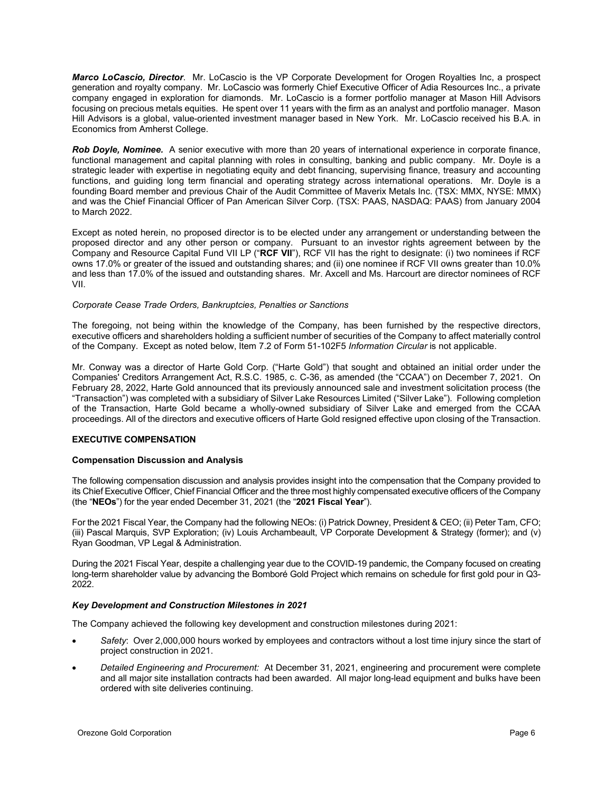*Marco LoCascio, Director*. Mr. LoCascio is the VP Corporate Development for Orogen Royalties Inc, a prospect generation and royalty company. Mr. LoCascio was formerly Chief Executive Officer of Adia Resources Inc., a private company engaged in exploration for diamonds. Mr. LoCascio is a former portfolio manager at Mason Hill Advisors focusing on precious metals equities. He spent over 11 years with the firm as an analyst and portfolio manager. Mason Hill Advisors is a global, value-oriented investment manager based in New York. Mr. LoCascio received his B.A. in Economics from Amherst College.

*Rob Doyle, Nominee.* A senior executive with more than 20 years of international experience in corporate finance, functional management and capital planning with roles in consulting, banking and public company. Mr. Doyle is a strategic leader with expertise in negotiating equity and debt financing, supervising finance, treasury and accounting functions, and guiding long term financial and operating strategy across international operations. Mr. Doyle is a founding Board member and previous Chair of the Audit Committee of Maverix Metals Inc. (TSX: MMX, NYSE: MMX) and was the Chief Financial Officer of Pan American Silver Corp. (TSX: PAAS, NASDAQ: PAAS) from January 2004 to March 2022.

Except as noted herein, no proposed director is to be elected under any arrangement or understanding between the proposed director and any other person or company. Pursuant to an investor rights agreement between by the Company and Resource Capital Fund VII LP ("**RCF VII**"), RCF VII has the right to designate: (i) two nominees if RCF owns 17.0% or greater of the issued and outstanding shares; and (ii) one nominee if RCF VII owns greater than 10.0% and less than 17.0% of the issued and outstanding shares. Mr. Axcell and Ms. Harcourt are director nominees of RCF VII.

### *Corporate Cease Trade Orders, Bankruptcies, Penalties or Sanctions*

The foregoing, not being within the knowledge of the Company, has been furnished by the respective directors, executive officers and shareholders holding a sufficient number of securities of the Company to affect materially control of the Company. Except as noted below, Item 7.2 of Form 51-102F5 *Information Circular* is not applicable.

Mr. Conway was a director of Harte Gold Corp. ("Harte Gold") that sought and obtained an initial order under the Companies' Creditors Arrangement Act, R.S.C. 1985, c. C-36, as amended (the "CCAA") on December 7, 2021. On February 28, 2022, Harte Gold announced that its previously announced sale and investment solicitation process (the "Transaction") was completed with a subsidiary of Silver Lake Resources Limited ("Silver Lake"). Following completion of the Transaction, Harte Gold became a wholly-owned subsidiary of Silver Lake and emerged from the CCAA proceedings. All of the directors and executive officers of Harte Gold resigned effective upon closing of the Transaction.

### <span id="page-8-0"></span>**EXECUTIVE COMPENSATION**

### **Compensation Discussion and Analysis**

The following compensation discussion and analysis provides insight into the compensation that the Company provided to its Chief Executive Officer, Chief Financial Officer and the three most highly compensated executive officers of the Company (the "**NEOs**") for the year ended December 31, 2021 (the "**2021 Fiscal Year**").

For the 2021 Fiscal Year, the Company had the following NEOs: (i) Patrick Downey, President & CEO; (ii) Peter Tam, CFO; (iii) Pascal Marquis, SVP Exploration; (iv) Louis Archambeault, VP Corporate Development & Strategy (former); and (v) Ryan Goodman, VP Legal & Administration.

During the 2021 Fiscal Year, despite a challenging year due to the COVID-19 pandemic, the Company focused on creating long-term shareholder value by advancing the Bomboré Gold Project which remains on schedule for first gold pour in Q3- 2022.

### *Key Development and Construction Milestones in 2021*

The Company achieved the following key development and construction milestones during 2021:

- *Safety*: Over 2,000,000 hours worked by employees and contractors without a lost time injury since the start of project construction in 2021.
- *Detailed Engineering and Procurement:* At December 31, 2021, engineering and procurement were complete and all major site installation contracts had been awarded. All major long-lead equipment and bulks have been ordered with site deliveries continuing.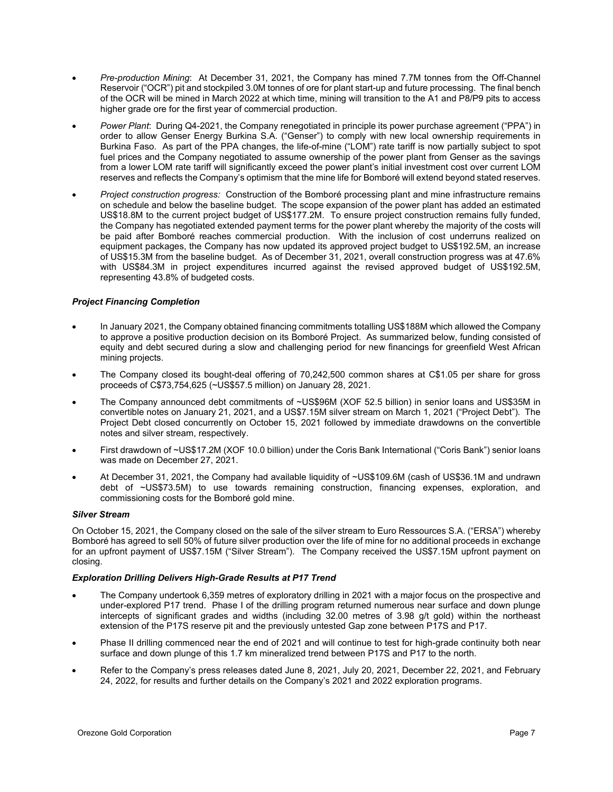- *Pre-production Mining*: At December 31, 2021, the Company has mined 7.7M tonnes from the Off-Channel Reservoir ("OCR") pit and stockpiled 3.0M tonnes of ore for plant start-up and future processing. The final bench of the OCR will be mined in March 2022 at which time, mining will transition to the A1 and P8/P9 pits to access higher grade ore for the first year of commercial production.
- *Power Plant*: During Q4-2021, the Company renegotiated in principle its power purchase agreement ("PPA") in order to allow Genser Energy Burkina S.A. ("Genser") to comply with new local ownership requirements in Burkina Faso. As part of the PPA changes, the life-of-mine ("LOM") rate tariff is now partially subject to spot fuel prices and the Company negotiated to assume ownership of the power plant from Genser as the savings from a lower LOM rate tariff will significantly exceed the power plant's initial investment cost over current LOM reserves and reflects the Company's optimism that the mine life for Bomboré will extend beyond stated reserves.
- *Project construction progress:* Construction of the Bomboré processing plant and mine infrastructure remains on schedule and below the baseline budget. The scope expansion of the power plant has added an estimated US\$18.8M to the current project budget of US\$177.2M. To ensure project construction remains fully funded, the Company has negotiated extended payment terms for the power plant whereby the majority of the costs will be paid after Bomboré reaches commercial production. With the inclusion of cost underruns realized on equipment packages, the Company has now updated its approved project budget to US\$192.5M, an increase of US\$15.3M from the baseline budget. As of December 31, 2021, overall construction progress was at 47.6% with US\$84.3M in project expenditures incurred against the revised approved budget of US\$192.5M, representing 43.8% of budgeted costs.

### *Project Financing Completion*

- In January 2021, the Company obtained financing commitments totalling US\$188M which allowed the Company to approve a positive production decision on its Bomboré Project. As summarized below, funding consisted of equity and debt secured during a slow and challenging period for new financings for greenfield West African mining projects.
- The Company closed its bought-deal offering of 70,242,500 common shares at C\$1.05 per share for gross proceeds of C\$73,754,625 (~US\$57.5 million) on January 28, 2021.
- The Company announced debt commitments of ~US\$96M (XOF 52.5 billion) in senior loans and US\$35M in convertible notes on January 21, 2021, and a US\$7.15M silver stream on March 1, 2021 ("Project Debt"). The Project Debt closed concurrently on October 15, 2021 followed by immediate drawdowns on the convertible notes and silver stream, respectively.
- First drawdown of ~US\$17.2M (XOF 10.0 billion) under the Coris Bank International ("Coris Bank") senior loans was made on December 27, 2021.
- At December 31, 2021, the Company had available liquidity of ~US\$109.6M (cash of US\$36.1M and undrawn debt of ~US\$73.5M) to use towards remaining construction, financing expenses, exploration, and commissioning costs for the Bomboré gold mine.

### *Silver Stream*

On October 15, 2021, the Company closed on the sale of the silver stream to Euro Ressources S.A. ("ERSA") whereby Bomboré has agreed to sell 50% of future silver production over the life of mine for no additional proceeds in exchange for an upfront payment of US\$7.15M ("Silver Stream"). The Company received the US\$7.15M upfront payment on closing.

### *Exploration Drilling Delivers High-Grade Results at P17 Trend*

- The Company undertook 6,359 metres of exploratory drilling in 2021 with a major focus on the prospective and under-explored P17 trend. Phase I of the drilling program returned numerous near surface and down plunge intercepts of significant grades and widths (including 32.00 metres of 3.98 g/t gold) within the northeast extension of the P17S reserve pit and the previously untested Gap zone between P17S and P17.
- Phase II drilling commenced near the end of 2021 and will continue to test for high-grade continuity both near surface and down plunge of this 1.7 km mineralized trend between P17S and P17 to the north.
- Refer to the Company's press releases dated June 8, 2021, July 20, 2021, December 22, 2021, and February 24, 2022, for results and further details on the Company's 2021 and 2022 exploration programs.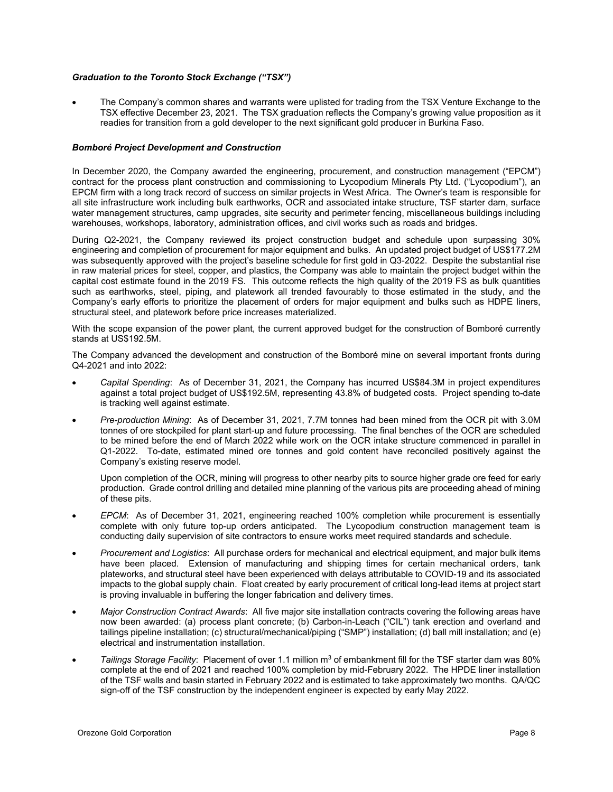### *Graduation to the Toronto Stock Exchange ("TSX")*

• The Company's common shares and warrants were uplisted for trading from the TSX Venture Exchange to the TSX effective December 23, 2021. The TSX graduation reflects the Company's growing value proposition as it readies for transition from a gold developer to the next significant gold producer in Burkina Faso.

### *Bomboré Project Development and Construction*

In December 2020, the Company awarded the engineering, procurement, and construction management ("EPCM") contract for the process plant construction and commissioning to Lycopodium Minerals Pty Ltd. ("Lycopodium"), an EPCM firm with a long track record of success on similar projects in West Africa. The Owner's team is responsible for all site infrastructure work including bulk earthworks, OCR and associated intake structure, TSF starter dam, surface water management structures, camp upgrades, site security and perimeter fencing, miscellaneous buildings including warehouses, workshops, laboratory, administration offices, and civil works such as roads and bridges.

During Q2-2021, the Company reviewed its project construction budget and schedule upon surpassing 30% engineering and completion of procurement for major equipment and bulks. An updated project budget of US\$177.2M was subsequently approved with the project's baseline schedule for first gold in Q3-2022. Despite the substantial rise in raw material prices for steel, copper, and plastics, the Company was able to maintain the project budget within the capital cost estimate found in the 2019 FS. This outcome reflects the high quality of the 2019 FS as bulk quantities such as earthworks, steel, piping, and platework all trended favourably to those estimated in the study, and the Company's early efforts to prioritize the placement of orders for major equipment and bulks such as HDPE liners, structural steel, and platework before price increases materialized.

With the scope expansion of the power plant, the current approved budget for the construction of Bomboré currently stands at US\$192.5M.

The Company advanced the development and construction of the Bomboré mine on several important fronts during Q4-2021 and into 2022:

- *Capital Spending*: As of December 31, 2021, the Company has incurred US\$84.3M in project expenditures against a total project budget of US\$192.5M, representing 43.8% of budgeted costs. Project spending to-date is tracking well against estimate.
- *Pre-production Mining*: As of December 31, 2021, 7.7M tonnes had been mined from the OCR pit with 3.0M tonnes of ore stockpiled for plant start-up and future processing. The final benches of the OCR are scheduled to be mined before the end of March 2022 while work on the OCR intake structure commenced in parallel in Q1-2022. To-date, estimated mined ore tonnes and gold content have reconciled positively against the Company's existing reserve model.

Upon completion of the OCR, mining will progress to other nearby pits to source higher grade ore feed for early production. Grade control drilling and detailed mine planning of the various pits are proceeding ahead of mining of these pits.

- *EPCM*: As of December 31, 2021, engineering reached 100% completion while procurement is essentially complete with only future top-up orders anticipated. The Lycopodium construction management team is conducting daily supervision of site contractors to ensure works meet required standards and schedule.
- *Procurement and Logistics*: All purchase orders for mechanical and electrical equipment, and major bulk items have been placed. Extension of manufacturing and shipping times for certain mechanical orders, tank plateworks, and structural steel have been experienced with delays attributable to COVID-19 and its associated impacts to the global supply chain. Float created by early procurement of critical long-lead items at project start is proving invaluable in buffering the longer fabrication and delivery times.
- *Major Construction Contract Awards*: All five major site installation contracts covering the following areas have now been awarded: (a) process plant concrete; (b) Carbon-in-Leach ("CIL") tank erection and overland and tailings pipeline installation; (c) structural/mechanical/piping ("SMP") installation; (d) ball mill installation; and (e) electrical and instrumentation installation.
- Tailings Storage Facility: Placement of over 1.1 million m<sup>3</sup> of embankment fill for the TSF starter dam was 80% complete at the end of 2021 and reached 100% completion by mid-February 2022. The HPDE liner installation of the TSF walls and basin started in February 2022 and is estimated to take approximately two months. QA/QC sign-off of the TSF construction by the independent engineer is expected by early May 2022.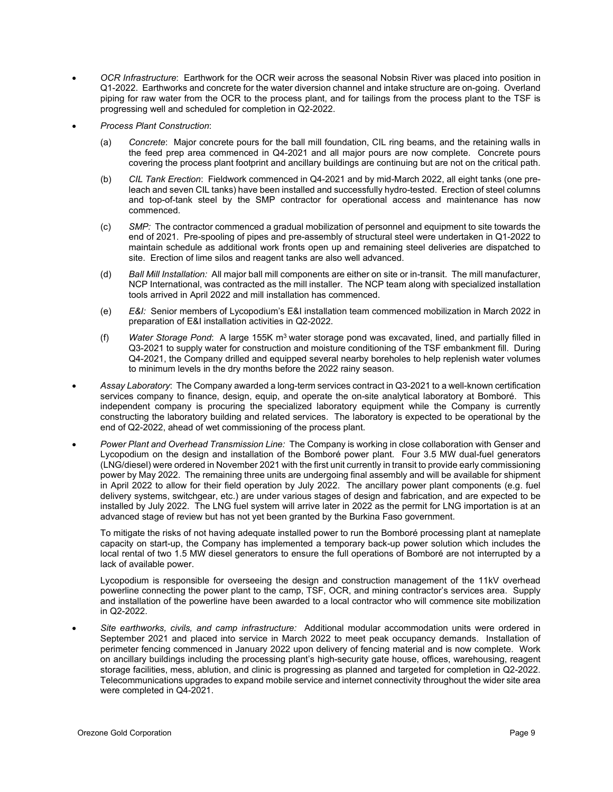- *OCR Infrastructure*: Earthwork for the OCR weir across the seasonal Nobsin River was placed into position in Q1-2022. Earthworks and concrete for the water diversion channel and intake structure are on-going. Overland piping for raw water from the OCR to the process plant, and for tailings from the process plant to the TSF is progressing well and scheduled for completion in Q2-2022.
- *Process Plant Construction*:
	- (a) *Concrete*: Major concrete pours for the ball mill foundation, CIL ring beams, and the retaining walls in the feed prep area commenced in Q4-2021 and all major pours are now complete. Concrete pours covering the process plant footprint and ancillary buildings are continuing but are not on the critical path.
	- (b) *CIL Tank Erection*: Fieldwork commenced in Q4-2021 and by mid-March 2022, all eight tanks (one preleach and seven CIL tanks) have been installed and successfully hydro-tested. Erection of steel columns and top-of-tank steel by the SMP contractor for operational access and maintenance has now commenced.
	- (c) *SMP:* The contractor commenced a gradual mobilization of personnel and equipment to site towards the end of 2021. Pre-spooling of pipes and pre-assembly of structural steel were undertaken in Q1-2022 to maintain schedule as additional work fronts open up and remaining steel deliveries are dispatched to site. Erection of lime silos and reagent tanks are also well advanced.
	- (d) *Ball Mill Installation:* All major ball mill components are either on site or in-transit. The mill manufacturer, NCP International, was contracted as the mill installer. The NCP team along with specialized installation tools arrived in April 2022 and mill installation has commenced.
	- (e) *E&I:* Senior members of Lycopodium's E&I installation team commenced mobilization in March 2022 in preparation of E&I installation activities in Q2-2022.
	- (f) *Water Storage Pond*: A large 155K m3 water storage pond was excavated, lined, and partially filled in Q3-2021 to supply water for construction and moisture conditioning of the TSF embankment fill. During Q4-2021, the Company drilled and equipped several nearby boreholes to help replenish water volumes to minimum levels in the dry months before the 2022 rainy season.
- *Assay Laboratory*: The Company awarded a long-term services contract in Q3-2021 to a well-known certification services company to finance, design, equip, and operate the on-site analytical laboratory at Bomboré. This independent company is procuring the specialized laboratory equipment while the Company is currently constructing the laboratory building and related services. The laboratory is expected to be operational by the end of Q2-2022, ahead of wet commissioning of the process plant.
- *Power Plant and Overhead Transmission Line:* The Company is working in close collaboration with Genser and Lycopodium on the design and installation of the Bomboré power plant. Four 3.5 MW dual-fuel generators (LNG/diesel) were ordered in November 2021 with the first unit currently in transit to provide early commissioning power by May 2022. The remaining three units are undergoing final assembly and will be available for shipment in April 2022 to allow for their field operation by July 2022. The ancillary power plant components (e.g. fuel delivery systems, switchgear, etc.) are under various stages of design and fabrication, and are expected to be installed by July 2022. The LNG fuel system will arrive later in 2022 as the permit for LNG importation is at an advanced stage of review but has not yet been granted by the Burkina Faso government.

To mitigate the risks of not having adequate installed power to run the Bomboré processing plant at nameplate capacity on start-up, the Company has implemented a temporary back-up power solution which includes the local rental of two 1.5 MW diesel generators to ensure the full operations of Bomboré are not interrupted by a lack of available power.

Lycopodium is responsible for overseeing the design and construction management of the 11kV overhead powerline connecting the power plant to the camp, TSF, OCR, and mining contractor's services area. Supply and installation of the powerline have been awarded to a local contractor who will commence site mobilization in Q2-2022.

• *Site earthworks, civils, and camp infrastructure:* Additional modular accommodation units were ordered in September 2021 and placed into service in March 2022 to meet peak occupancy demands. Installation of perimeter fencing commenced in January 2022 upon delivery of fencing material and is now complete. Work on ancillary buildings including the processing plant's high-security gate house, offices, warehousing, reagent storage facilities, mess, ablution, and clinic is progressing as planned and targeted for completion in Q2-2022. Telecommunications upgrades to expand mobile service and internet connectivity throughout the wider site area were completed in Q4-2021.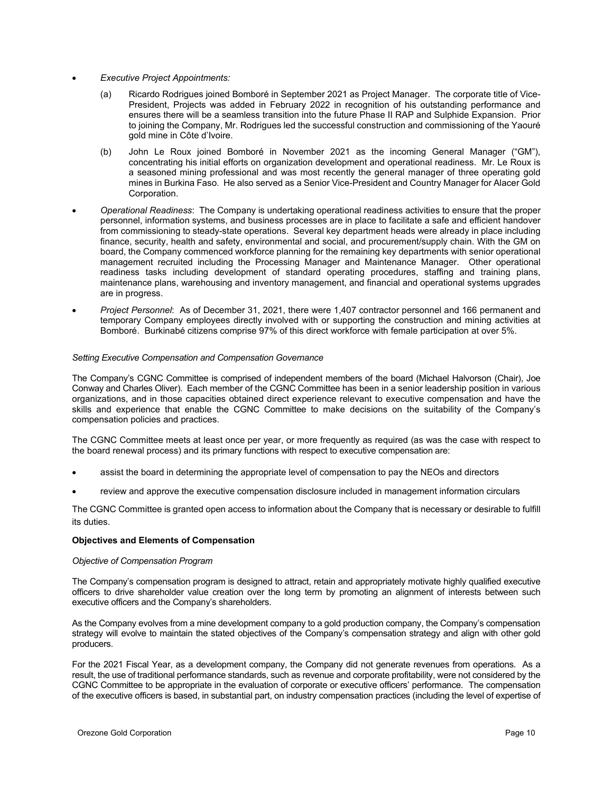- *Executive Project Appointments:* 
	- (a) Ricardo Rodrigues joined Bomboré in September 2021 as Project Manager. The corporate title of Vice-President, Projects was added in February 2022 in recognition of his outstanding performance and ensures there will be a seamless transition into the future Phase II RAP and Sulphide Expansion. Prior to joining the Company, Mr. Rodrigues led the successful construction and commissioning of the Yaouré gold mine in Côte d'Ivoire.
	- (b) John Le Roux joined Bomboré in November 2021 as the incoming General Manager ("GM"), concentrating his initial efforts on organization development and operational readiness. Mr. Le Roux is a seasoned mining professional and was most recently the general manager of three operating gold mines in Burkina Faso. He also served as a Senior Vice-President and Country Manager for Alacer Gold Corporation.
- *Operational Readiness*: The Company is undertaking operational readiness activities to ensure that the proper personnel, information systems, and business processes are in place to facilitate a safe and efficient handover from commissioning to steady-state operations. Several key department heads were already in place including finance, security, health and safety, environmental and social, and procurement/supply chain. With the GM on board, the Company commenced workforce planning for the remaining key departments with senior operational management recruited including the Processing Manager and Maintenance Manager. Other operational readiness tasks including development of standard operating procedures, staffing and training plans, maintenance plans, warehousing and inventory management, and financial and operational systems upgrades are in progress.
- *Project Personnel*: As of December 31, 2021, there were 1,407 contractor personnel and 166 permanent and temporary Company employees directly involved with or supporting the construction and mining activities at Bomboré. Burkinabé citizens comprise 97% of this direct workforce with female participation at over 5%.

### *Setting Executive Compensation and Compensation Governance*

The Company's CGNC Committee is comprised of independent members of the board (Michael Halvorson (Chair), Joe Conway and Charles Oliver). Each member of the CGNC Committee has been in a senior leadership position in various organizations, and in those capacities obtained direct experience relevant to executive compensation and have the skills and experience that enable the CGNC Committee to make decisions on the suitability of the Company's compensation policies and practices.

The CGNC Committee meets at least once per year, or more frequently as required (as was the case with respect to the board renewal process) and its primary functions with respect to executive compensation are:

- assist the board in determining the appropriate level of compensation to pay the NEOs and directors
- review and approve the executive compensation disclosure included in management information circulars

The CGNC Committee is granted open access to information about the Company that is necessary or desirable to fulfill its duties.

### **Objectives and Elements of Compensation**

### *Objective of Compensation Program*

The Company's compensation program is designed to attract, retain and appropriately motivate highly qualified executive officers to drive shareholder value creation over the long term by promoting an alignment of interests between such executive officers and the Company's shareholders.

As the Company evolves from a mine development company to a gold production company, the Company's compensation strategy will evolve to maintain the stated objectives of the Company's compensation strategy and align with other gold producers.

For the 2021 Fiscal Year, as a development company, the Company did not generate revenues from operations. As a result, the use of traditional performance standards, such as revenue and corporate profitability, were not considered by the CGNC Committee to be appropriate in the evaluation of corporate or executive officers' performance. The compensation of the executive officers is based, in substantial part, on industry compensation practices (including the level of expertise of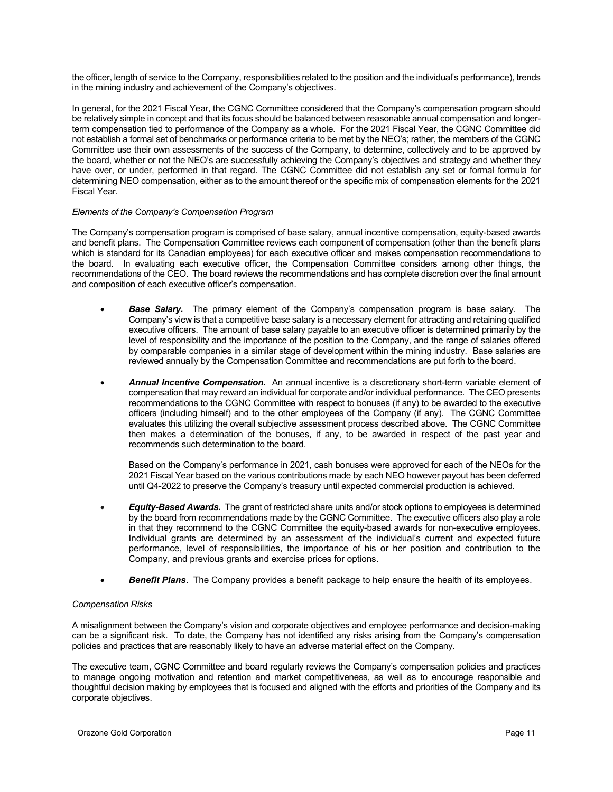the officer, length of service to the Company, responsibilities related to the position and the individual's performance), trends in the mining industry and achievement of the Company's objectives.

In general, for the 2021 Fiscal Year, the CGNC Committee considered that the Company's compensation program should be relatively simple in concept and that its focus should be balanced between reasonable annual compensation and longerterm compensation tied to performance of the Company as a whole. For the 2021 Fiscal Year, the CGNC Committee did not establish a formal set of benchmarks or performance criteria to be met by the NEO's; rather, the members of the CGNC Committee use their own assessments of the success of the Company, to determine, collectively and to be approved by the board, whether or not the NEO's are successfully achieving the Company's objectives and strategy and whether they have over, or under, performed in that regard. The CGNC Committee did not establish any set or formal formula for determining NEO compensation, either as to the amount thereof or the specific mix of compensation elements for the 2021 Fiscal Year.

### *Elements of the Company's Compensation Program*

The Company's compensation program is comprised of base salary, annual incentive compensation, equity-based awards and benefit plans. The Compensation Committee reviews each component of compensation (other than the benefit plans which is standard for its Canadian employees) for each executive officer and makes compensation recommendations to the board. In evaluating each executive officer, the Compensation Committee considers among other things, the recommendations of the CEO. The board reviews the recommendations and has complete discretion over the final amount and composition of each executive officer's compensation.

- **Base Salary.** The primary element of the Company's compensation program is base salary. The Company's view is that a competitive base salary is a necessary element for attracting and retaining qualified executive officers. The amount of base salary payable to an executive officer is determined primarily by the level of responsibility and the importance of the position to the Company, and the range of salaries offered by comparable companies in a similar stage of development within the mining industry. Base salaries are reviewed annually by the Compensation Committee and recommendations are put forth to the board.
- *Annual Incentive Compensation.* An annual incentive is a discretionary short-term variable element of compensation that may reward an individual for corporate and/or individual performance. The CEO presents recommendations to the CGNC Committee with respect to bonuses (if any) to be awarded to the executive officers (including himself) and to the other employees of the Company (if any). The CGNC Committee evaluates this utilizing the overall subjective assessment process described above. The CGNC Committee then makes a determination of the bonuses, if any, to be awarded in respect of the past year and recommends such determination to the board.

Based on the Company's performance in 2021, cash bonuses were approved for each of the NEOs for the 2021 Fiscal Year based on the various contributions made by each NEO however payout has been deferred until Q4-2022 to preserve the Company's treasury until expected commercial production is achieved.

- *Equity-Based Awards.* The grant of restricted share units and/or stock options to employees is determined by the board from recommendations made by the CGNC Committee. The executive officers also play a role in that they recommend to the CGNC Committee the equity-based awards for non-executive employees. Individual grants are determined by an assessment of the individual's current and expected future performance, level of responsibilities, the importance of his or her position and contribution to the Company, and previous grants and exercise prices for options.
- *Benefit Plans*. The Company provides a benefit package to help ensure the health of its employees.

### *Compensation Risks*

A misalignment between the Company's vision and corporate objectives and employee performance and decision-making can be a significant risk. To date, the Company has not identified any risks arising from the Company's compensation policies and practices that are reasonably likely to have an adverse material effect on the Company.

The executive team, CGNC Committee and board regularly reviews the Company's compensation policies and practices to manage ongoing motivation and retention and market competitiveness, as well as to encourage responsible and thoughtful decision making by employees that is focused and aligned with the efforts and priorities of the Company and its corporate objectives.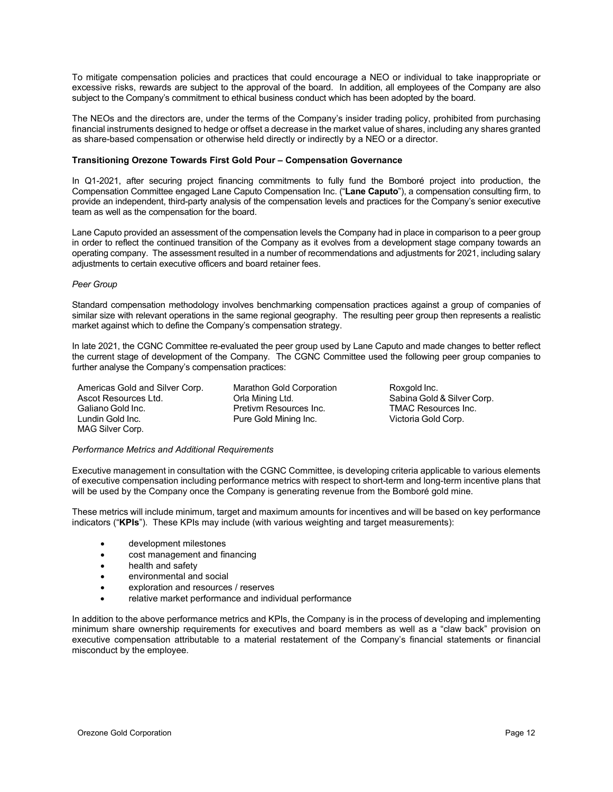To mitigate compensation policies and practices that could encourage a NEO or individual to take inappropriate or excessive risks, rewards are subject to the approval of the board. In addition, all employees of the Company are also subject to the Company's commitment to ethical business conduct which has been adopted by the board.

The NEOs and the directors are, under the terms of the Company's insider trading policy, prohibited from purchasing financial instruments designed to hedge or offset a decrease in the market value of shares, including any shares granted as share-based compensation or otherwise held directly or indirectly by a NEO or a director.

### **Transitioning Orezone Towards First Gold Pour – Compensation Governance**

In Q1-2021, after securing project financing commitments to fully fund the Bomboré project into production, the Compensation Committee engaged Lane Caputo Compensation Inc. ("**Lane Caputo**"), a compensation consulting firm, to provide an independent, third-party analysis of the compensation levels and practices for the Company's senior executive team as well as the compensation for the board.

Lane Caputo provided an assessment of the compensation levels the Company had in place in comparison to a peer group in order to reflect the continued transition of the Company as it evolves from a development stage company towards an operating company. The assessment resulted in a number of recommendations and adjustments for 2021, including salary adjustments to certain executive officers and board retainer fees.

### *Peer Group*

Standard compensation methodology involves benchmarking compensation practices against a group of companies of similar size with relevant operations in the same regional geography. The resulting peer group then represents a realistic market against which to define the Company's compensation strategy.

In late 2021, the CGNC Committee re-evaluated the peer group used by Lane Caputo and made changes to better reflect the current stage of development of the Company. The CGNC Committee used the following peer group companies to further analyse the Company's compensation practices:

Americas Gold and Silver Corp. Marathon Gold Corporation **Roxgold Inc.** Ascot Resources Ltd.  $\overline{\phantom{0}}$  Orla Mining Ltd.  $\overline{\phantom{0}}$  Sabina Gold & Silver Corp. Galiano Gold Inc. **Example 20 Fretivm Resources Inc.** TMAC Resources Inc. Lundin Gold Inc. Pure Gold Mining Inc. Victoria Gold Corp. MAG Silver Corp.

### *Performance Metrics and Additional Requirements*

Executive management in consultation with the CGNC Committee, is developing criteria applicable to various elements of executive compensation including performance metrics with respect to short-term and long-term incentive plans that will be used by the Company once the Company is generating revenue from the Bomboré gold mine.

These metrics will include minimum, target and maximum amounts for incentives and will be based on key performance indicators ("**KPIs**"). These KPIs may include (with various weighting and target measurements):

- development milestones
- cost management and financing
- health and safety
- environmental and social
- exploration and resources / reserves
- relative market performance and individual performance

In addition to the above performance metrics and KPIs, the Company is in the process of developing and implementing minimum share ownership requirements for executives and board members as well as a "claw back" provision on executive compensation attributable to a material restatement of the Company's financial statements or financial misconduct by the employee.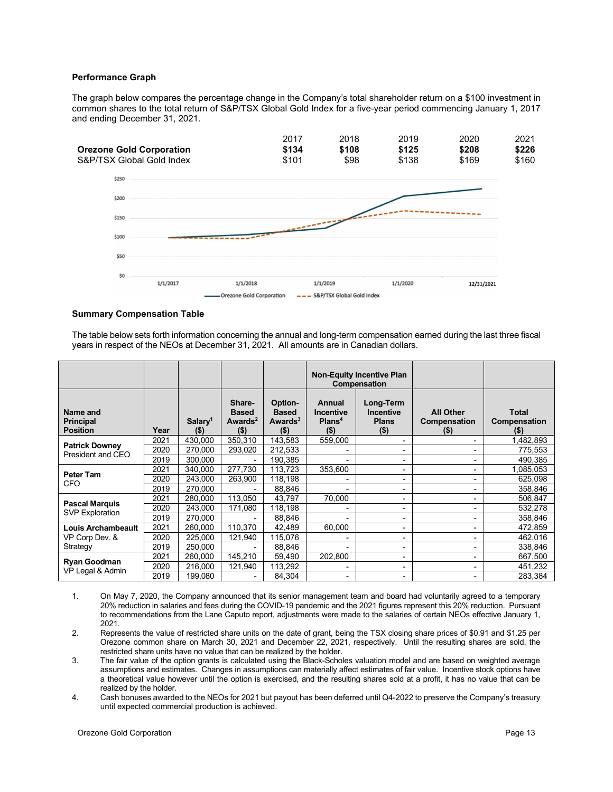### **Performance Graph**

The graph below compares the percentage change in the Company's total shareholder return on a \$100 investment in common shares to the total return of S&P/TSX Global Gold Index for a five-year period commencing January 1, 2017 and ending December 31, 2021.

|                                 | 2017  | 2018  | 2019  | 2020  | 2021  |
|---------------------------------|-------|-------|-------|-------|-------|
| <b>Orezone Gold Corporation</b> | \$134 | \$108 | \$125 | \$208 | \$226 |
| S&P/TSX Global Gold Index       | \$101 | \$98  | \$138 | \$169 | \$160 |



### **Summary Compensation Table**

The table below sets forth information concerning the annual and long-term compensation earned during the last three fiscal years in respect of the NEOs at December 31, 2021. All amounts are in Canadian dollars.

|                                                 |      |                                |                                                          |                                                  | <b>Non-Equity Incentive Plan</b><br>Compensation           |                                                          |                                            |                              |
|-------------------------------------------------|------|--------------------------------|----------------------------------------------------------|--------------------------------------------------|------------------------------------------------------------|----------------------------------------------------------|--------------------------------------------|------------------------------|
| Name and<br><b>Principal</b><br><b>Position</b> | Year | Salary <sup>1</sup><br>$($ \$) | Share-<br><b>Based</b><br>Awards <sup>2</sup><br>$($ \$) | Option-<br><b>Based</b><br>Awards $3$<br>$($ \$) | Annual<br><b>Incentive</b><br>Plan <sup>4</sup><br>$($ \$) | Long-Term<br><b>Incentive</b><br><b>Plans</b><br>$($ \$) | <b>All Other</b><br>Compensation<br>$($ \$ | Total<br>Compensation<br>(5) |
| <b>Patrick Downey</b>                           | 2021 | 430.000                        | 350,310                                                  | 143.583                                          | 559,000                                                    | $\overline{\phantom{0}}$                                 |                                            | 1,482,893                    |
| President and CEO                               | 2020 | 270.000                        | 293,020                                                  | 212.533                                          |                                                            | Ξ.                                                       |                                            | 775,553                      |
|                                                 | 2019 | 300,000                        |                                                          | 190.385                                          |                                                            | Ξ.                                                       |                                            | 490.385                      |
|                                                 | 2021 | 340.000                        | 277.730                                                  | 113.723                                          | 353.600                                                    | ۰.                                                       |                                            | 1.085.053                    |
| Peter Tam                                       | 2020 | 243,000                        | 263,900                                                  | 118,198                                          |                                                            | Ξ.                                                       |                                            | 625,098                      |
| <b>CFO</b>                                      | 2019 | 270,000                        |                                                          | 88,846                                           |                                                            | Ξ.                                                       |                                            | 358,846                      |
|                                                 | 2021 | 280,000                        | 113.050                                                  | 43,797                                           | 70,000                                                     | -                                                        |                                            | 506,847                      |
| <b>Pascal Marquis</b>                           | 2020 | 243,000                        | 171,080                                                  | 118,198                                          |                                                            | ٠                                                        |                                            | 532,278                      |
| <b>SVP Exploration</b>                          | 2019 | 270,000                        |                                                          | 88,846                                           |                                                            | ۰                                                        |                                            | 358,846                      |
| <b>Louis Archambeault</b>                       | 2021 | 260,000                        | 110,370                                                  | 42,489                                           | 60,000                                                     | ۰.                                                       |                                            | 472,859                      |
| VP Corp Dev. &                                  | 2020 | 225,000                        | 121,940                                                  | 115,076                                          |                                                            | ۰                                                        |                                            | 462,016                      |
| Strategy                                        | 2019 | 250,000                        |                                                          | 88.846                                           |                                                            | ۰                                                        |                                            | 338.846                      |
|                                                 | 2021 | 260,000                        | 145,210                                                  | 59,490                                           | 202,800                                                    | -                                                        |                                            | 667,500                      |
| <b>Ryan Goodman</b>                             | 2020 | 216,000                        | 121,940                                                  | 113,292                                          |                                                            | ۰                                                        |                                            | 451,232                      |
| VP Legal & Admin                                | 2019 | 199,080                        |                                                          | 84,304                                           |                                                            | $\overline{\phantom{0}}$                                 |                                            | 283,384                      |

- 1. On May 7, 2020, the Company announced that its senior management team and board had voluntarily agreed to a temporary 20% reduction in salaries and fees during the COVID-19 pandemic and the 2021 figures represent this 20% reduction. Pursuant to recommendations from the Lane Caputo report, adjustments were made to the salaries of certain NEOs effective January 1, 2021.
- 2. Represents the value of restricted share units on the date of grant, being the TSX closing share prices of \$0.91 and \$1.25 per Orezone common share on March 30, 2021 and December 22, 2021, respectively. Until the resulting shares are sold, the restricted share units have no value that can be realized by the holder.
- 3. The fair value of the option grants is calculated using the Black-Scholes valuation model and are based on weighted average assumptions and estimates. Changes in assumptions can materially affect estimates of fair value. Incentive stock options have a theoretical value however until the option is exercised, and the resulting shares sold at a profit, it has no value that can be realized by the holder.
- 4. Cash bonuses awarded to the NEOs for 2021 but payout has been deferred until Q4-2022 to preserve the Company's treasury until expected commercial production is achieved.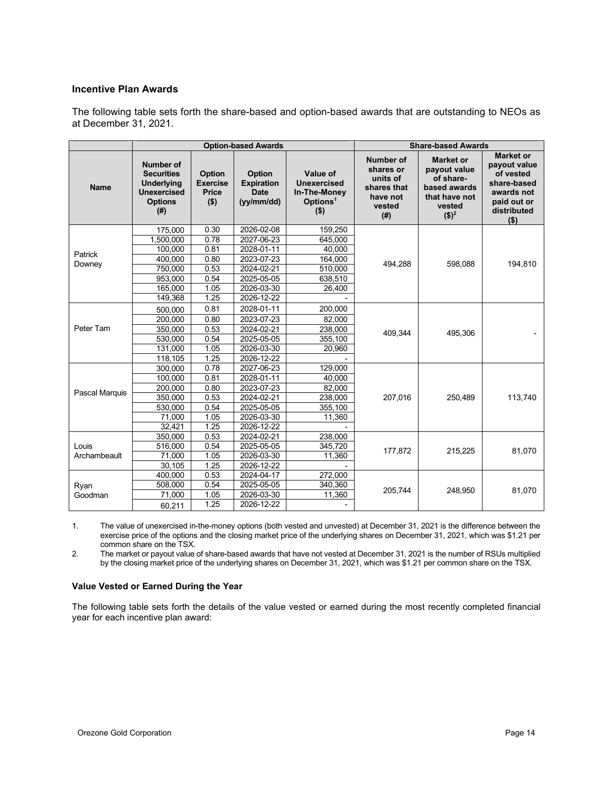### **Incentive Plan Awards**

The following table sets forth the share-based and option-based awards that are outstanding to NEOs as at December 31, 2021.

|                   |                                                                                                     |                                                      | <b>Option-based Awards</b>                                 |                                                                            |                                                                                       | <b>Share-based Awards</b>                                                                           |                                                                                                                   |
|-------------------|-----------------------------------------------------------------------------------------------------|------------------------------------------------------|------------------------------------------------------------|----------------------------------------------------------------------------|---------------------------------------------------------------------------------------|-----------------------------------------------------------------------------------------------------|-------------------------------------------------------------------------------------------------------------------|
| <b>Name</b>       | Number of<br><b>Securities</b><br><b>Underlying</b><br><b>Unexercised</b><br><b>Options</b><br>(# ) | <b>Option</b><br><b>Exercise</b><br>Price<br>$($ \$) | Option<br><b>Expiration</b><br><b>Date</b><br>(yy/mm / dd) | Value of<br>Unexercised<br>In-The-Money<br>Options <sup>1</sup><br>$($ \$) | <b>Number of</b><br>shares or<br>units of<br>shares that<br>have not<br>vested<br>(#) | <b>Market or</b><br>payout value<br>of share-<br>based awards<br>that have not<br>vested<br>$($)^2$ | <b>Market or</b><br>payout value<br>of vested<br>share-based<br>awards not<br>paid out or<br>distributed<br>( \$) |
|                   | 175,000                                                                                             | 0.30                                                 | 2026-02-08                                                 | 159,250                                                                    |                                                                                       |                                                                                                     |                                                                                                                   |
|                   | 1,500,000                                                                                           | 0.78                                                 | 2027-06-23                                                 | 645,000                                                                    |                                                                                       |                                                                                                     |                                                                                                                   |
|                   | 100,000                                                                                             | 0.81                                                 | 2028-01-11                                                 | 40,000                                                                     |                                                                                       |                                                                                                     |                                                                                                                   |
| Patrick<br>Downey | 400,000                                                                                             | 0.80                                                 | 2023-07-23                                                 | 164,000                                                                    | 494,288                                                                               | 598,088                                                                                             | 194,810                                                                                                           |
|                   | 750,000                                                                                             | 0.53                                                 | 2024-02-21                                                 | 510,000                                                                    |                                                                                       |                                                                                                     |                                                                                                                   |
|                   | 953,000                                                                                             | 0.54                                                 | 2025-05-05                                                 | 638,510                                                                    |                                                                                       |                                                                                                     |                                                                                                                   |
|                   | 165,000                                                                                             | 1.05                                                 | 2026-03-30                                                 | 26,400                                                                     |                                                                                       |                                                                                                     |                                                                                                                   |
|                   | 149,368                                                                                             | 1.25                                                 | 2026-12-22                                                 |                                                                            |                                                                                       |                                                                                                     |                                                                                                                   |
|                   | 500.000                                                                                             | 0.81                                                 | 2028-01-11                                                 | 200,000                                                                    |                                                                                       |                                                                                                     |                                                                                                                   |
| Peter Tam         | 200,000                                                                                             | 0.80                                                 | 2023-07-23                                                 | 82,000                                                                     |                                                                                       |                                                                                                     |                                                                                                                   |
|                   | 350,000                                                                                             | 0.53                                                 | 2024-02-21                                                 | 238,000                                                                    | 409,344                                                                               | 495,306                                                                                             |                                                                                                                   |
|                   | 530,000                                                                                             | 0.54                                                 | 2025-05-05                                                 | 355,100                                                                    |                                                                                       |                                                                                                     |                                                                                                                   |
|                   | 131,000                                                                                             | 1.05                                                 | 2026-03-30                                                 | 20,960                                                                     |                                                                                       |                                                                                                     |                                                                                                                   |
|                   | 118,105                                                                                             | 1.25                                                 | 2026-12-22                                                 |                                                                            |                                                                                       |                                                                                                     |                                                                                                                   |
|                   | 300,000                                                                                             | 0.78                                                 | 2027-06-23                                                 | 129,000                                                                    |                                                                                       |                                                                                                     |                                                                                                                   |
|                   | 100,000                                                                                             | 0.81                                                 | 2028-01-11                                                 | 40,000                                                                     |                                                                                       |                                                                                                     |                                                                                                                   |
| Pascal Marquis    | 200,000                                                                                             | 0.80                                                 | 2023-07-23                                                 | 82,000                                                                     |                                                                                       |                                                                                                     |                                                                                                                   |
|                   | 350,000                                                                                             | 0.53                                                 | 2024-02-21                                                 | 238,000                                                                    | 207,016                                                                               | 250,489                                                                                             | 113,740                                                                                                           |
|                   | 530,000                                                                                             | 0.54                                                 | 2025-05-05                                                 | 355,100                                                                    |                                                                                       |                                                                                                     |                                                                                                                   |
|                   | 71,000                                                                                              | 1.05                                                 | 2026-03-30                                                 | 11,360                                                                     |                                                                                       |                                                                                                     |                                                                                                                   |
|                   | 32,421                                                                                              | 1.25                                                 | 2026-12-22                                                 |                                                                            |                                                                                       |                                                                                                     |                                                                                                                   |
|                   | 350.000                                                                                             | 0.53                                                 | 2024-02-21                                                 | 238,000                                                                    |                                                                                       |                                                                                                     |                                                                                                                   |
| Louis             | 516,000                                                                                             | 0.54                                                 | 2025-05-05                                                 | 345,720                                                                    | 177,872                                                                               | 215,225                                                                                             | 81,070                                                                                                            |
| Archambeault      | 71,000                                                                                              | 1.05                                                 | 2026-03-30                                                 | 11,360                                                                     |                                                                                       |                                                                                                     |                                                                                                                   |
|                   | 30,105                                                                                              | 1.25                                                 | 2026-12-22                                                 |                                                                            |                                                                                       |                                                                                                     |                                                                                                                   |
|                   | 400,000                                                                                             | 0.53                                                 | 2024-04-17                                                 | 272,000                                                                    |                                                                                       |                                                                                                     |                                                                                                                   |
| Ryan              | 508,000                                                                                             | 0.54                                                 | 2025-05-05                                                 | 340.360                                                                    |                                                                                       |                                                                                                     |                                                                                                                   |
| Goodman           | 71,000                                                                                              | 1.05                                                 | 2026-03-30                                                 | 11,360                                                                     | 205,744                                                                               | 248,950                                                                                             | 81,070                                                                                                            |
|                   | 60.211                                                                                              | 1.25                                                 | 2026-12-22                                                 |                                                                            |                                                                                       |                                                                                                     |                                                                                                                   |

1. The value of unexercised in-the-money options (both vested and unvested) at December 31, 2021 is the difference between the exercise price of the options and the closing market price of the underlying shares on December 31, 2021, which was \$1.21 per common share on the TSX.

2. The market or payout value of share-based awards that have not vested at December 31, 2021 is the number of RSUs multiplied by the closing market price of the underlying shares on December 31, 2021, which was \$1.21 per common share on the TSX.

### **Value Vested or Earned During the Year**

The following table sets forth the details of the value vested or earned during the most recently completed financial year for each incentive plan award: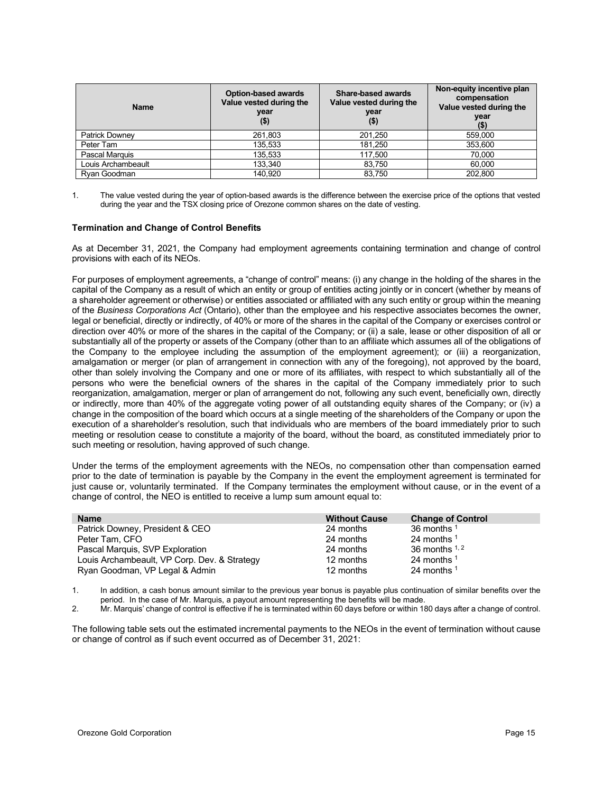| <b>Name</b>           | <b>Option-based awards</b><br>Value vested during the<br>year<br>(5) | Share-based awards<br>Value vested during the<br>year<br>$($ \$) | Non-equity incentive plan<br>compensation<br>Value vested during the<br>year<br>(\$) |
|-----------------------|----------------------------------------------------------------------|------------------------------------------------------------------|--------------------------------------------------------------------------------------|
| <b>Patrick Downey</b> | 261,803                                                              | 201,250                                                          | 559,000                                                                              |
| Peter Tam             | 135,533                                                              | 181.250                                                          | 353,600                                                                              |
| Pascal Marquis        | 135,533                                                              | 117,500                                                          | 70,000                                                                               |
| Louis Archambeault    | 133.340                                                              | 83,750                                                           | 60.000                                                                               |
| Rvan Goodman          | 140.920                                                              | 83,750                                                           | 202.800                                                                              |

1. The value vested during the year of option-based awards is the difference between the exercise price of the options that vested during the year and the TSX closing price of Orezone common shares on the date of vesting.

### **Termination and Change of Control Benefits**

As at December 31, 2021, the Company had employment agreements containing termination and change of control provisions with each of its NEOs.

For purposes of employment agreements, a "change of control" means: (i) any change in the holding of the shares in the capital of the Company as a result of which an entity or group of entities acting jointly or in concert (whether by means of a shareholder agreement or otherwise) or entities associated or affiliated with any such entity or group within the meaning of the *Business Corporations Act* (Ontario), other than the employee and his respective associates becomes the owner, legal or beneficial, directly or indirectly, of 40% or more of the shares in the capital of the Company or exercises control or direction over 40% or more of the shares in the capital of the Company; or (ii) a sale, lease or other disposition of all or substantially all of the property or assets of the Company (other than to an affiliate which assumes all of the obligations of the Company to the employee including the assumption of the employment agreement); or (iii) a reorganization, amalgamation or merger (or plan of arrangement in connection with any of the foregoing), not approved by the board, other than solely involving the Company and one or more of its affiliates, with respect to which substantially all of the persons who were the beneficial owners of the shares in the capital of the Company immediately prior to such reorganization, amalgamation, merger or plan of arrangement do not, following any such event, beneficially own, directly or indirectly, more than 40% of the aggregate voting power of all outstanding equity shares of the Company; or (iv) a change in the composition of the board which occurs at a single meeting of the shareholders of the Company or upon the execution of a shareholder's resolution, such that individuals who are members of the board immediately prior to such meeting or resolution cease to constitute a majority of the board, without the board, as constituted immediately prior to such meeting or resolution, having approved of such change.

Under the terms of the employment agreements with the NEOs, no compensation other than compensation earned prior to the date of termination is payable by the Company in the event the employment agreement is terminated for just cause or, voluntarily terminated. If the Company terminates the employment without cause, or in the event of a change of control, the NEO is entitled to receive a lump sum amount equal to:

| <b>Name</b>                                  | <b>Without Cause</b> | <b>Change of Control</b> |
|----------------------------------------------|----------------------|--------------------------|
| Patrick Downey, President & CEO              | 24 months            | 36 months $1$            |
| Peter Tam, CFO                               | 24 months            | 24 months $1$            |
| Pascal Marquis, SVP Exploration              | 24 months            | 36 months $1, 2$         |
| Louis Archambeault, VP Corp. Dev. & Strategy | 12 months            | 24 months $1$            |
| Ryan Goodman, VP Legal & Admin               | 12 months            | 24 months $1$            |

1. In addition, a cash bonus amount similar to the previous year bonus is payable plus continuation of similar benefits over the period. In the case of Mr. Marquis, a payout amount representing the benefits will be made.

2. Mr. Marquis' change of control is effective if he is terminated within 60 days before or within 180 days after a change of control.

The following table sets out the estimated incremental payments to the NEOs in the event of termination without cause or change of control as if such event occurred as of December 31, 2021: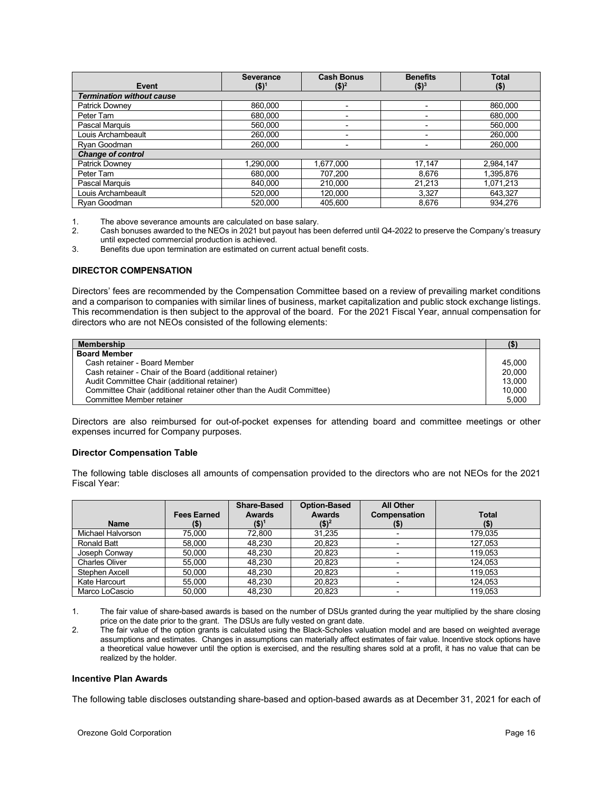| Event                            | <b>Severance</b><br>$$)^1$ | <b>Cash Bonus</b><br>$($)^2$ | <b>Benefits</b><br>$$)^3$ | <b>Total</b><br>$($ \$) |
|----------------------------------|----------------------------|------------------------------|---------------------------|-------------------------|
| <b>Termination without cause</b> |                            |                              |                           |                         |
| <b>Patrick Downey</b>            | 860.000                    |                              |                           | 860,000                 |
| Peter Tam                        | 680.000                    |                              | $\overline{\phantom{0}}$  | 680,000                 |
| Pascal Marquis                   | 560,000                    |                              |                           | 560,000                 |
| Louis Archambeault               | 260.000                    |                              |                           | 260,000                 |
| Ryan Goodman                     | 260,000                    |                              |                           | 260,000                 |
| <b>Change of control</b>         |                            |                              |                           |                         |
| <b>Patrick Downey</b>            | 1,290,000                  | 1,677,000                    | 17.147                    | 2,984,147               |
| Peter Tam                        | 680.000                    | 707,200                      | 8.676                     | 1,395,876               |
| Pascal Marquis                   | 840,000                    | 210,000                      | 21,213                    | 1,071,213               |
| Louis Archambeault               | 520.000                    | 120,000                      | 3,327                     | 643,327                 |
| Rvan Goodman                     | 520.000                    | 405.600                      | 8.676                     | 934.276                 |

1. The above severance amounts are calculated on base salary.

3. Benefits due upon termination are estimated on current actual benefit costs.

### <span id="page-18-0"></span>**DIRECTOR COMPENSATION**

Directors' fees are recommended by the Compensation Committee based on a review of prevailing market conditions and a comparison to companies with similar lines of business, market capitalization and public stock exchange listings. This recommendation is then subject to the approval of the board. For the 2021 Fiscal Year, annual compensation for directors who are not NEOs consisted of the following elements:

| <b>Membership</b>                                                    |        |
|----------------------------------------------------------------------|--------|
| <b>Board Member</b>                                                  |        |
| Cash retainer - Board Member                                         | 45.000 |
| Cash retainer - Chair of the Board (additional retainer)             | 20,000 |
| Audit Committee Chair (additional retainer)                          | 13.000 |
| Committee Chair (additional retainer other than the Audit Committee) | 10,000 |
| Committee Member retainer                                            | 5,000  |

Directors are also reimbursed for out-of-pocket expenses for attending board and committee meetings or other expenses incurred for Company purposes.

### **Director Compensation Table**

The following table discloses all amounts of compensation provided to the directors who are not NEOs for the 2021 Fiscal Year:

| <b>Name</b>           | <b>Fees Earned</b><br>(\$) | <b>Share-Based</b><br><b>Awards</b><br>(\$)1 | <b>Option-Based</b><br><b>Awards</b><br>$($ \$) <sup>2</sup> | <b>All Other</b><br>Compensation<br>$($ \$) | <b>Total</b><br>(\$) |
|-----------------------|----------------------------|----------------------------------------------|--------------------------------------------------------------|---------------------------------------------|----------------------|
| Michael Halvorson     | 75.000                     | 72.800                                       | 31.235                                                       |                                             | 179.035              |
| <b>Ronald Batt</b>    | 58,000                     | 48,230                                       | 20,823                                                       |                                             | 127.053              |
| Joseph Conway         | 50.000                     | 48.230                                       | 20.823                                                       |                                             | 119.053              |
| <b>Charles Oliver</b> | 55,000                     | 48.230                                       | 20,823                                                       |                                             | 124.053              |
| Stephen Axcell        | 50.000                     | 48.230                                       | 20.823                                                       |                                             | 119.053              |
| Kate Harcourt         | 55.000                     | 48.230                                       | 20,823                                                       |                                             | 124.053              |
| Marco LoCascio        | 50.000                     | 48.230                                       | 20,823                                                       |                                             | 119.053              |

1. The fair value of share-based awards is based on the number of DSUs granted during the year multiplied by the share closing price on the date prior to the grant. The DSUs are fully vested on grant date.

2. The fair value of the option grants is calculated using the Black-Scholes valuation model and are based on weighted average assumptions and estimates. Changes in assumptions can materially affect estimates of fair value. Incentive stock options have a theoretical value however until the option is exercised, and the resulting shares sold at a profit, it has no value that can be realized by the holder.

### **Incentive Plan Awards**

The following table discloses outstanding share-based and option-based awards as at December 31, 2021 for each of

<sup>2.</sup> Cash bonuses awarded to the NEOs in 2021 but payout has been deferred until Q4-2022 to preserve the Company's treasury until expected commercial production is achieved.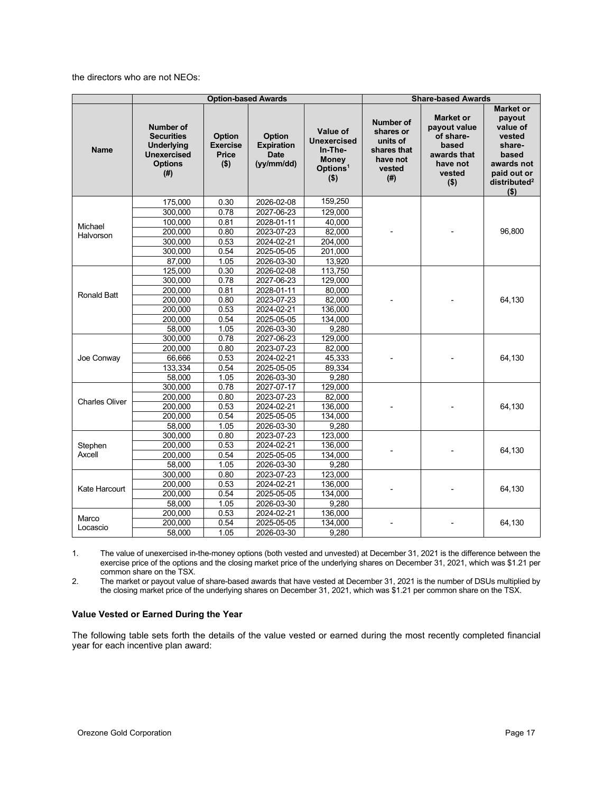the directors who are not NEOs:

|                       |                                                                                             |                                               | <b>Option-based Awards</b>                               |                                                                                              | <b>Share-based Awards</b>                                                      |                                                                                                        |                                                                                                                                 |  |
|-----------------------|---------------------------------------------------------------------------------------------|-----------------------------------------------|----------------------------------------------------------|----------------------------------------------------------------------------------------------|--------------------------------------------------------------------------------|--------------------------------------------------------------------------------------------------------|---------------------------------------------------------------------------------------------------------------------------------|--|
| <b>Name</b>           | Number of<br><b>Securities</b><br>Underlying<br><b>Unexercised</b><br><b>Options</b><br>(#) | Option<br><b>Exercise</b><br>Price<br>$($ \$) | Option<br><b>Expiration</b><br><b>Date</b><br>(yy/mm/dd) | Value of<br><b>Unexercised</b><br>In-The-<br><b>Money</b><br>Options <sup>1</sup><br>$($ \$) | Number of<br>shares or<br>units of<br>shares that<br>have not<br>vested<br>(#) | <b>Market or</b><br>payout value<br>of share-<br>based<br>awards that<br>have not<br>vested<br>$($ \$) | <b>Market or</b><br>payout<br>value of<br>vested<br>share-<br>based<br>awards not<br>paid out or<br>distributed $^2$<br>$($ \$) |  |
|                       | 175,000                                                                                     | 0.30                                          | 2026-02-08                                               | 159,250                                                                                      |                                                                                |                                                                                                        |                                                                                                                                 |  |
|                       | 300,000                                                                                     | 0.78                                          | 2027-06-23                                               | 129,000                                                                                      |                                                                                |                                                                                                        |                                                                                                                                 |  |
|                       | 100,000                                                                                     | 0.81                                          | 2028-01-11                                               | 40.000                                                                                       |                                                                                |                                                                                                        |                                                                                                                                 |  |
| Michael<br>Halvorson  | 200,000                                                                                     | 0.80                                          | 2023-07-23                                               | 82,000                                                                                       |                                                                                |                                                                                                        | 96,800                                                                                                                          |  |
|                       | 300,000                                                                                     | 0.53                                          | 2024-02-21                                               | 204,000                                                                                      |                                                                                |                                                                                                        |                                                                                                                                 |  |
|                       | 300,000                                                                                     | 0.54                                          | 2025-05-05                                               | 201,000                                                                                      |                                                                                |                                                                                                        |                                                                                                                                 |  |
|                       | 87.000                                                                                      | 1.05                                          | 2026-03-30                                               | 13,920                                                                                       |                                                                                |                                                                                                        |                                                                                                                                 |  |
|                       | 125,000                                                                                     | 0.30                                          | 2026-02-08                                               | 113,750                                                                                      |                                                                                |                                                                                                        |                                                                                                                                 |  |
|                       | 300.000                                                                                     | 0.78                                          | 2027-06-23                                               | 129,000                                                                                      |                                                                                |                                                                                                        |                                                                                                                                 |  |
|                       | 200,000                                                                                     | 0.81                                          | 2028-01-11                                               | 80,000                                                                                       |                                                                                |                                                                                                        |                                                                                                                                 |  |
| <b>Ronald Batt</b>    | 200,000                                                                                     | 0.80                                          | 2023-07-23                                               | 82,000                                                                                       |                                                                                |                                                                                                        | 64,130                                                                                                                          |  |
|                       | 200,000                                                                                     | 0.53                                          | 2024-02-21                                               | 136,000                                                                                      |                                                                                |                                                                                                        |                                                                                                                                 |  |
|                       | 200,000                                                                                     | 0.54                                          | 2025-05-05                                               | 134,000                                                                                      |                                                                                |                                                                                                        |                                                                                                                                 |  |
|                       | 58,000                                                                                      | 1.05                                          | 2026-03-30                                               | 9.280                                                                                        |                                                                                |                                                                                                        |                                                                                                                                 |  |
|                       | 300,000                                                                                     | 0.78                                          | 2027-06-23                                               | 129,000                                                                                      |                                                                                |                                                                                                        |                                                                                                                                 |  |
|                       | 200,000                                                                                     | 0.80                                          | 2023-07-23                                               | 82,000                                                                                       |                                                                                |                                                                                                        |                                                                                                                                 |  |
| Joe Conway            | 66,666                                                                                      | 0.53                                          | 2024-02-21                                               | 45,333                                                                                       |                                                                                |                                                                                                        | 64,130                                                                                                                          |  |
|                       | 133,334                                                                                     | 0.54                                          | 2025-05-05                                               | 89,334                                                                                       |                                                                                |                                                                                                        |                                                                                                                                 |  |
|                       | 58,000                                                                                      | 1.05                                          | 2026-03-30                                               | 9,280                                                                                        |                                                                                |                                                                                                        |                                                                                                                                 |  |
|                       | 300,000                                                                                     | 0.78                                          | 2027-07-17                                               | 129,000                                                                                      |                                                                                |                                                                                                        |                                                                                                                                 |  |
| <b>Charles Oliver</b> | 200,000                                                                                     | 0.80                                          | 2023-07-23                                               | 82,000                                                                                       |                                                                                |                                                                                                        |                                                                                                                                 |  |
|                       | 200,000                                                                                     | 0.53                                          | 2024-02-21                                               | 136,000                                                                                      |                                                                                |                                                                                                        | 64,130                                                                                                                          |  |
|                       | 200,000                                                                                     | 0.54                                          | 2025-05-05                                               | 134,000                                                                                      |                                                                                |                                                                                                        |                                                                                                                                 |  |
|                       | 58,000                                                                                      | 1.05                                          | 2026-03-30                                               | 9.280                                                                                        |                                                                                |                                                                                                        |                                                                                                                                 |  |
|                       | 300.000                                                                                     | 0.80                                          | 2023-07-23                                               | 123.000                                                                                      |                                                                                |                                                                                                        |                                                                                                                                 |  |
| Stephen               | 200,000                                                                                     | 0.53                                          | 2024-02-21                                               | 136,000                                                                                      |                                                                                |                                                                                                        | 64,130                                                                                                                          |  |
| Axcell                | 200.000                                                                                     | 0.54                                          | 2025-05-05                                               | 134,000                                                                                      |                                                                                |                                                                                                        |                                                                                                                                 |  |
|                       | 58,000                                                                                      | 1.05                                          | 2026-03-30                                               | 9,280                                                                                        |                                                                                |                                                                                                        |                                                                                                                                 |  |
|                       | 300,000                                                                                     | 0.80                                          | 2023-07-23                                               | 123,000                                                                                      |                                                                                |                                                                                                        |                                                                                                                                 |  |
| Kate Harcourt         | 200.000                                                                                     | 0.53                                          | 2024-02-21                                               | 136.000                                                                                      |                                                                                |                                                                                                        | 64,130                                                                                                                          |  |
|                       | 200.000                                                                                     | 0.54                                          | 2025-05-05                                               | 134,000                                                                                      |                                                                                |                                                                                                        |                                                                                                                                 |  |
|                       | 58,000                                                                                      | 1.05                                          | 2026-03-30                                               | 9,280                                                                                        |                                                                                |                                                                                                        |                                                                                                                                 |  |
| Marco                 | 200,000                                                                                     | 0.53                                          | 2024-02-21                                               | 136,000                                                                                      |                                                                                |                                                                                                        |                                                                                                                                 |  |
| Locascio              | 200,000                                                                                     | 0.54                                          | 2025-05-05                                               | 134,000                                                                                      |                                                                                |                                                                                                        | 64,130                                                                                                                          |  |
|                       | 58,000                                                                                      | 1.05                                          | 2026-03-30                                               | 9,280                                                                                        |                                                                                |                                                                                                        |                                                                                                                                 |  |

1. The value of unexercised in-the-money options (both vested and unvested) at December 31, 2021 is the difference between the exercise price of the options and the closing market price of the underlying shares on December 31, 2021, which was \$1.21 per common share on the TSX.

2. The market or payout value of share-based awards that have vested at December 31, 2021 is the number of DSUs multiplied by the closing market price of the underlying shares on December 31, 2021, which was \$1.21 per common share on the TSX.

### **Value Vested or Earned During the Year**

The following table sets forth the details of the value vested or earned during the most recently completed financial year for each incentive plan award: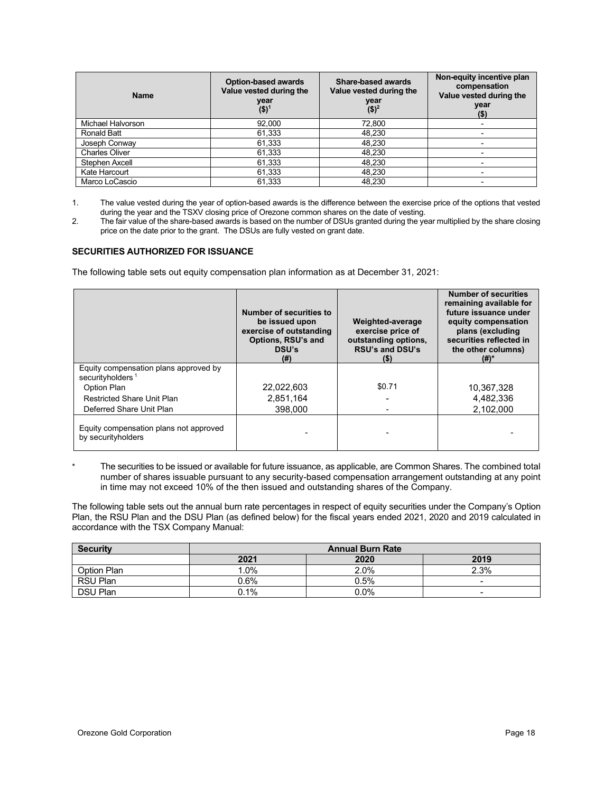| <b>Name</b>           | <b>Option-based awards</b><br>Value vested during the<br>year<br>$($ \$) <sup>1</sup> | Share-based awards<br>Value vested during the<br>year<br>$($)^2$ | Non-equity incentive plan<br>compensation<br>Value vested during the<br>year<br>$($ \$) |
|-----------------------|---------------------------------------------------------------------------------------|------------------------------------------------------------------|-----------------------------------------------------------------------------------------|
| Michael Halvorson     | 92,000                                                                                | 72,800                                                           |                                                                                         |
| Ronald Batt           | 61,333                                                                                | 48,230                                                           |                                                                                         |
| Joseph Conway         | 61,333                                                                                | 48,230                                                           |                                                                                         |
| <b>Charles Oliver</b> | 61,333                                                                                | 48.230                                                           |                                                                                         |
| Stephen Axcell        | 61,333                                                                                | 48,230                                                           |                                                                                         |
| Kate Harcourt         | 61,333                                                                                | 48,230                                                           |                                                                                         |
| Marco LoCascio        | 61.333                                                                                | 48,230                                                           |                                                                                         |

1. The value vested during the year of option-based awards is the difference between the exercise price of the options that vested during the year and the TSXV closing price of Orezone common shares on the date of vesting.

2. The fair value of the share-based awards is based on the number of DSUs granted during the year multiplied by the share closing price on the date prior to the grant. The DSUs are fully vested on grant date.

### <span id="page-20-0"></span>**SECURITIES AUTHORIZED FOR ISSUANCE**

The following table sets out equity compensation plan information as at December 31, 2021:

|                                                                       | Number of securities to<br>be issued upon<br>exercise of outstanding<br>Options, RSU's and<br>DSU's<br>$(\#)$ | Weighted-average<br>exercise price of<br>outstanding options,<br><b>RSU's and DSU's</b><br>$($ \$) | <b>Number of securities</b><br>remaining available for<br>future issuance under<br>equity compensation<br>plans (excluding<br>securities reflected in<br>the other columns)<br>(#)* |
|-----------------------------------------------------------------------|---------------------------------------------------------------------------------------------------------------|----------------------------------------------------------------------------------------------------|-------------------------------------------------------------------------------------------------------------------------------------------------------------------------------------|
| Equity compensation plans approved by<br>securityholders <sup>1</sup> |                                                                                                               |                                                                                                    |                                                                                                                                                                                     |
| Option Plan                                                           | 22,022,603                                                                                                    | \$0.71                                                                                             | 10,367,328                                                                                                                                                                          |
| <b>Restricted Share Unit Plan</b>                                     | 2,851,164                                                                                                     |                                                                                                    | 4,482,336                                                                                                                                                                           |
| Deferred Share Unit Plan                                              | 398,000                                                                                                       |                                                                                                    | 2.102.000                                                                                                                                                                           |
| Equity compensation plans not approved<br>by securityholders          |                                                                                                               |                                                                                                    |                                                                                                                                                                                     |

The securities to be issued or available for future issuance, as applicable, are Common Shares. The combined total number of shares issuable pursuant to any security-based compensation arrangement outstanding at any point in time may not exceed 10% of the then issued and outstanding shares of the Company.

The following table sets out the annual burn rate percentages in respect of equity securities under the Company's Option Plan, the RSU Plan and the DSU Plan (as defined below) for the fiscal years ended 2021, 2020 and 2019 calculated in accordance with the TSX Company Manual:

| <b>Security</b> | <b>Annual Burn Rate</b> |      |                          |
|-----------------|-------------------------|------|--------------------------|
|                 | 2021                    | 2020 | 2019                     |
| Option Plan     | .0%                     | 2.0% | 2.3%                     |
| RSU Plan        | $0.6\%$                 | 0.5% | $\sim$                   |
| <b>DSU Plan</b> | 0.1%                    | 0.0% | $\overline{\phantom{0}}$ |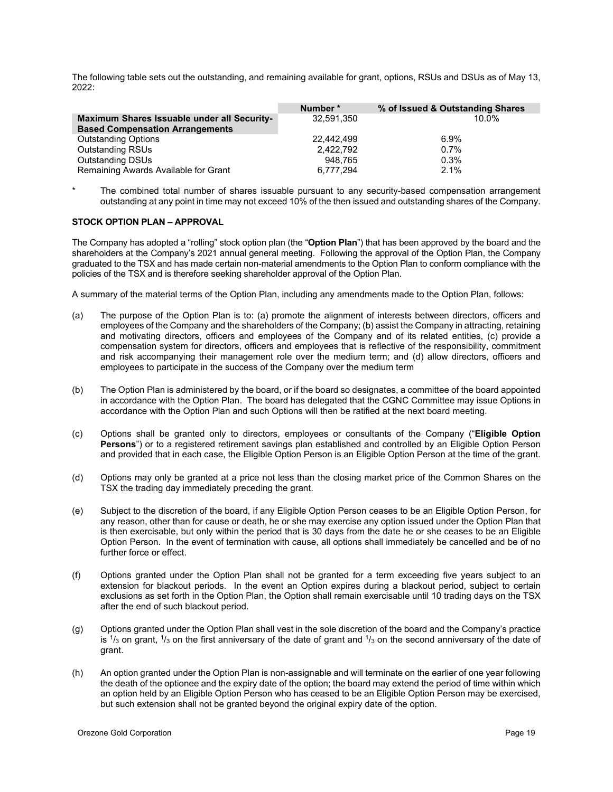The following table sets out the outstanding, and remaining available for grant, options, RSUs and DSUs as of May 13, 2022:

|                                                                                       | Number*    | % of Issued & Outstanding Shares |
|---------------------------------------------------------------------------------------|------------|----------------------------------|
| Maximum Shares Issuable under all Security-<br><b>Based Compensation Arrangements</b> | 32.591.350 | 10.0%                            |
| <b>Outstanding Options</b>                                                            | 22,442,499 | 6.9%                             |
| <b>Outstanding RSUs</b>                                                               | 2.422.792  | $0.7\%$                          |
| <b>Outstanding DSUs</b>                                                               | 948.765    | 0.3%                             |
| Remaining Awards Available for Grant                                                  | 6,777,294  | 2.1%                             |

The combined total number of shares issuable pursuant to any security-based compensation arrangement outstanding at any point in time may not exceed 10% of the then issued and outstanding shares of the Company.

### <span id="page-21-0"></span>**STOCK OPTION PLAN – APPROVAL**

The Company has adopted a "rolling" stock option plan (the "**Option Plan**") that has been approved by the board and the shareholders at the Company's 2021 annual general meeting. Following the approval of the Option Plan, the Company graduated to the TSX and has made certain non-material amendments to the Option Plan to conform compliance with the policies of the TSX and is therefore seeking shareholder approval of the Option Plan.

A summary of the material terms of the Option Plan, including any amendments made to the Option Plan, follows:

- (a) The purpose of the Option Plan is to: (a) promote the alignment of interests between directors, officers and employees of the Company and the shareholders of the Company; (b) assist the Company in attracting, retaining and motivating directors, officers and employees of the Company and of its related entities, (c) provide a compensation system for directors, officers and employees that is reflective of the responsibility, commitment and risk accompanying their management role over the medium term; and (d) allow directors, officers and employees to participate in the success of the Company over the medium term
- (b) The Option Plan is administered by the board, or if the board so designates, a committee of the board appointed in accordance with the Option Plan. The board has delegated that the CGNC Committee may issue Options in accordance with the Option Plan and such Options will then be ratified at the next board meeting.
- (c) Options shall be granted only to directors, employees or consultants of the Company ("**Eligible Option Persons**") or to a registered retirement savings plan established and controlled by an Eligible Option Person and provided that in each case, the Eligible Option Person is an Eligible Option Person at the time of the grant.
- (d) Options may only be granted at a price not less than the closing market price of the Common Shares on the TSX the trading day immediately preceding the grant.
- (e) Subject to the discretion of the board, if any Eligible Option Person ceases to be an Eligible Option Person, for any reason, other than for cause or death, he or she may exercise any option issued under the Option Plan that is then exercisable, but only within the period that is 30 days from the date he or she ceases to be an Eligible Option Person. In the event of termination with cause, all options shall immediately be cancelled and be of no further force or effect.
- (f) Options granted under the Option Plan shall not be granted for a term exceeding five years subject to an extension for blackout periods. In the event an Option expires during a blackout period, subject to certain exclusions as set forth in the Option Plan, the Option shall remain exercisable until 10 trading days on the TSX after the end of such blackout period.
- (g) Options granted under the Option Plan shall vest in the sole discretion of the board and the Company's practice is  $1/3$  on grant,  $1/3$  on the first anniversary of the date of grant and  $1/3$  on the second anniversary of the date of grant.
- (h) An option granted under the Option Plan is non-assignable and will terminate on the earlier of one year following the death of the optionee and the expiry date of the option; the board may extend the period of time within which an option held by an Eligible Option Person who has ceased to be an Eligible Option Person may be exercised, but such extension shall not be granted beyond the original expiry date of the option.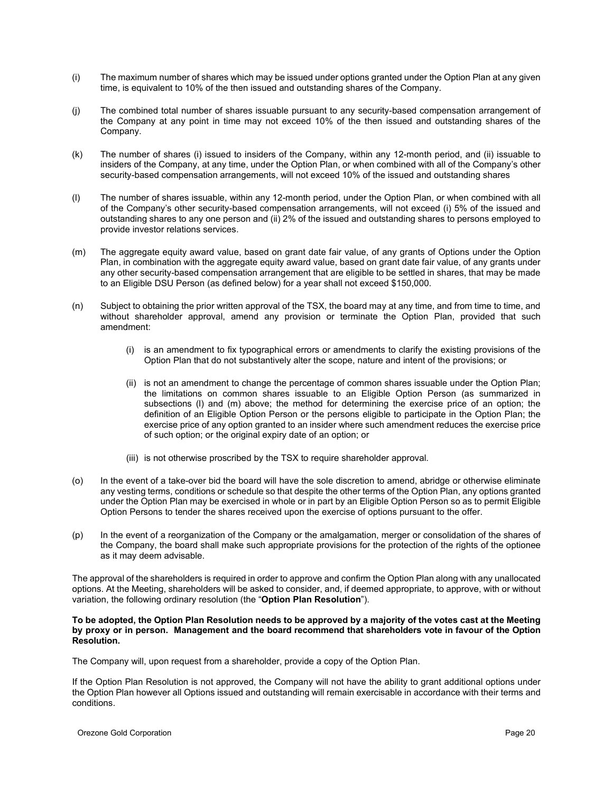- (i) The maximum number of shares which may be issued under options granted under the Option Plan at any given time, is equivalent to 10% of the then issued and outstanding shares of the Company.
- (j) The combined total number of shares issuable pursuant to any security-based compensation arrangement of the Company at any point in time may not exceed 10% of the then issued and outstanding shares of the Company.
- (k) The number of shares (i) issued to insiders of the Company, within any 12-month period, and (ii) issuable to insiders of the Company, at any time, under the Option Plan, or when combined with all of the Company's other security-based compensation arrangements, will not exceed 10% of the issued and outstanding shares
- (l) The number of shares issuable, within any 12-month period, under the Option Plan, or when combined with all of the Company's other security-based compensation arrangements, will not exceed (i) 5% of the issued and outstanding shares to any one person and (ii) 2% of the issued and outstanding shares to persons employed to provide investor relations services.
- (m) The aggregate equity award value, based on grant date fair value, of any grants of Options under the Option Plan, in combination with the aggregate equity award value, based on grant date fair value, of any grants under any other security-based compensation arrangement that are eligible to be settled in shares, that may be made to an Eligible DSU Person (as defined below) for a year shall not exceed \$150,000.
- (n) Subject to obtaining the prior written approval of the TSX, the board may at any time, and from time to time, and without shareholder approval, amend any provision or terminate the Option Plan, provided that such amendment:
	- (i) is an amendment to fix typographical errors or amendments to clarify the existing provisions of the Option Plan that do not substantively alter the scope, nature and intent of the provisions; or
	- (ii) is not an amendment to change the percentage of common shares issuable under the Option Plan; the limitations on common shares issuable to an Eligible Option Person (as summarized in subsections (l) and (m) above; the method for determining the exercise price of an option; the definition of an Eligible Option Person or the persons eligible to participate in the Option Plan; the exercise price of any option granted to an insider where such amendment reduces the exercise price of such option; or the original expiry date of an option; or
	- (iii) is not otherwise proscribed by the TSX to require shareholder approval.
- (o) In the event of a take-over bid the board will have the sole discretion to amend, abridge or otherwise eliminate any vesting terms, conditions or schedule so that despite the other terms of the Option Plan, any options granted under the Option Plan may be exercised in whole or in part by an Eligible Option Person so as to permit Eligible Option Persons to tender the shares received upon the exercise of options pursuant to the offer.
- (p) In the event of a reorganization of the Company or the amalgamation, merger or consolidation of the shares of the Company, the board shall make such appropriate provisions for the protection of the rights of the optionee as it may deem advisable.

The approval of the shareholders is required in order to approve and confirm the Option Plan along with any unallocated options. At the Meeting, shareholders will be asked to consider, and, if deemed appropriate, to approve, with or without variation, the following ordinary resolution (the "**Option Plan Resolution**").

### **To be adopted, the Option Plan Resolution needs to be approved by a majority of the votes cast at the Meeting by proxy or in person. Management and the board recommend that shareholders vote in favour of the Option Resolution.**

The Company will, upon request from a shareholder, provide a copy of the Option Plan.

If the Option Plan Resolution is not approved, the Company will not have the ability to grant additional options under the Option Plan however all Options issued and outstanding will remain exercisable in accordance with their terms and conditions.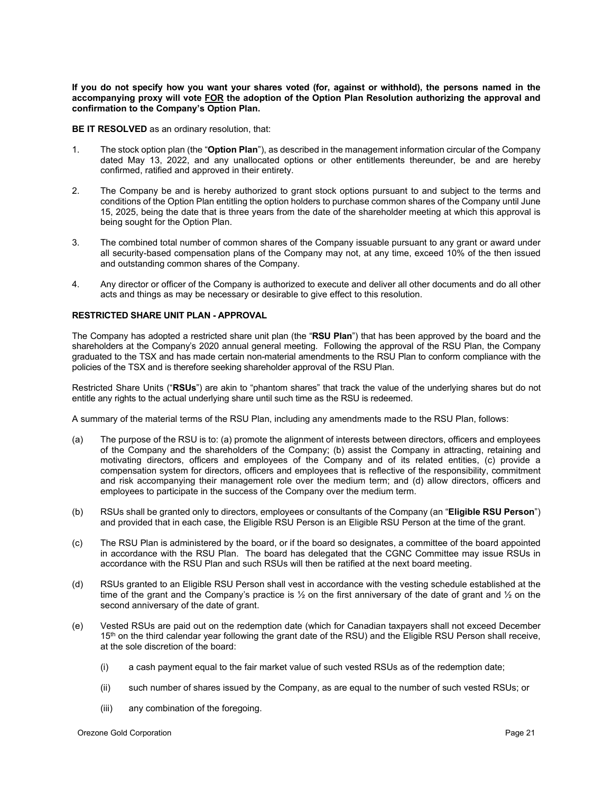**If you do not specify how you want your shares voted (for, against or withhold), the persons named in the accompanying proxy will vote FOR the adoption of the Option Plan Resolution authorizing the approval and confirmation to the Company's Option Plan.**

**BE IT RESOLVED** as an ordinary resolution, that:

- 1. The stock option plan (the "**Option Plan**"), as described in the management information circular of the Company dated May 13, 2022, and any unallocated options or other entitlements thereunder, be and are hereby confirmed, ratified and approved in their entirety.
- 2. The Company be and is hereby authorized to grant stock options pursuant to and subject to the terms and conditions of the Option Plan entitling the option holders to purchase common shares of the Company until June 15, 2025, being the date that is three years from the date of the shareholder meeting at which this approval is being sought for the Option Plan.
- 3. The combined total number of common shares of the Company issuable pursuant to any grant or award under all security-based compensation plans of the Company may not, at any time, exceed 10% of the then issued and outstanding common shares of the Company.
- 4. Any director or officer of the Company is authorized to execute and deliver all other documents and do all other acts and things as may be necessary or desirable to give effect to this resolution.

### <span id="page-23-0"></span>**RESTRICTED SHARE UNIT PLAN - APPROVAL**

The Company has adopted a restricted share unit plan (the "**RSU Plan**") that has been approved by the board and the shareholders at the Company's 2020 annual general meeting. Following the approval of the RSU Plan, the Company graduated to the TSX and has made certain non-material amendments to the RSU Plan to conform compliance with the policies of the TSX and is therefore seeking shareholder approval of the RSU Plan.

Restricted Share Units ("**RSUs**") are akin to "phantom shares" that track the value of the underlying shares but do not entitle any rights to the actual underlying share until such time as the RSU is redeemed.

A summary of the material terms of the RSU Plan, including any amendments made to the RSU Plan, follows:

- (a) The purpose of the RSU is to: (a) promote the alignment of interests between directors, officers and employees of the Company and the shareholders of the Company; (b) assist the Company in attracting, retaining and motivating directors, officers and employees of the Company and of its related entities, (c) provide a compensation system for directors, officers and employees that is reflective of the responsibility, commitment and risk accompanying their management role over the medium term; and (d) allow directors, officers and employees to participate in the success of the Company over the medium term.
- (b) RSUs shall be granted only to directors, employees or consultants of the Company (an "**Eligible RSU Person**") and provided that in each case, the Eligible RSU Person is an Eligible RSU Person at the time of the grant.
- (c) The RSU Plan is administered by the board, or if the board so designates, a committee of the board appointed in accordance with the RSU Plan. The board has delegated that the CGNC Committee may issue RSUs in accordance with the RSU Plan and such RSUs will then be ratified at the next board meeting.
- (d) RSUs granted to an Eligible RSU Person shall vest in accordance with the vesting schedule established at the time of the grant and the Company's practice is ½ on the first anniversary of the date of grant and ½ on the second anniversary of the date of grant.
- (e) Vested RSUs are paid out on the redemption date (which for Canadian taxpayers shall not exceed December 15<sup>th</sup> on the third calendar year following the grant date of the RSU) and the Eligible RSU Person shall receive, at the sole discretion of the board:
	- (i) a cash payment equal to the fair market value of such vested RSUs as of the redemption date;
	- (ii) such number of shares issued by the Company, as are equal to the number of such vested RSUs; or
	- (iii) any combination of the foregoing.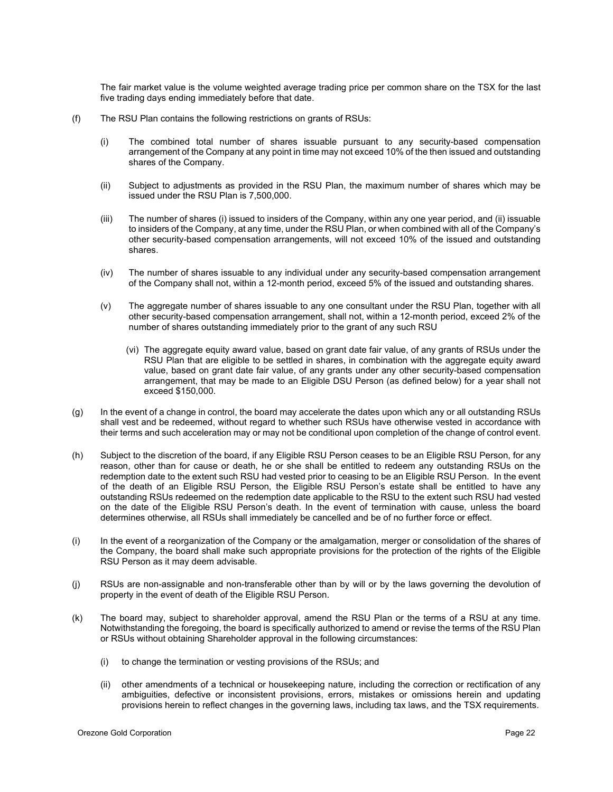The fair market value is the volume weighted average trading price per common share on the TSX for the last five trading days ending immediately before that date.

- (f) The RSU Plan contains the following restrictions on grants of RSUs:
	- (i) The combined total number of shares issuable pursuant to any security-based compensation arrangement of the Company at any point in time may not exceed 10% of the then issued and outstanding shares of the Company.
	- (ii) Subject to adjustments as provided in the RSU Plan, the maximum number of shares which may be issued under the RSU Plan is 7,500,000.
	- (iii) The number of shares (i) issued to insiders of the Company, within any one year period, and (ii) issuable to insiders of the Company, at any time, under the RSU Plan, or when combined with all of the Company's other security-based compensation arrangements, will not exceed 10% of the issued and outstanding shares.
	- (iv) The number of shares issuable to any individual under any security-based compensation arrangement of the Company shall not, within a 12-month period, exceed 5% of the issued and outstanding shares.
	- (v) The aggregate number of shares issuable to any one consultant under the RSU Plan, together with all other security-based compensation arrangement, shall not, within a 12-month period, exceed 2% of the number of shares outstanding immediately prior to the grant of any such RSU
		- (vi) The aggregate equity award value, based on grant date fair value, of any grants of RSUs under the RSU Plan that are eligible to be settled in shares, in combination with the aggregate equity award value, based on grant date fair value, of any grants under any other security-based compensation arrangement, that may be made to an Eligible DSU Person (as defined below) for a year shall not exceed \$150,000.
- (g) In the event of a change in control, the board may accelerate the dates upon which any or all outstanding RSUs shall vest and be redeemed, without regard to whether such RSUs have otherwise vested in accordance with their terms and such acceleration may or may not be conditional upon completion of the change of control event.
- (h) Subject to the discretion of the board, if any Eligible RSU Person ceases to be an Eligible RSU Person, for any reason, other than for cause or death, he or she shall be entitled to redeem any outstanding RSUs on the redemption date to the extent such RSU had vested prior to ceasing to be an Eligible RSU Person. In the event of the death of an Eligible RSU Person, the Eligible RSU Person's estate shall be entitled to have any outstanding RSUs redeemed on the redemption date applicable to the RSU to the extent such RSU had vested on the date of the Eligible RSU Person's death. In the event of termination with cause, unless the board determines otherwise, all RSUs shall immediately be cancelled and be of no further force or effect.
- (i) In the event of a reorganization of the Company or the amalgamation, merger or consolidation of the shares of the Company, the board shall make such appropriate provisions for the protection of the rights of the Eligible RSU Person as it may deem advisable.
- (j) RSUs are non-assignable and non-transferable other than by will or by the laws governing the devolution of property in the event of death of the Eligible RSU Person.
- (k) The board may, subject to shareholder approval, amend the RSU Plan or the terms of a RSU at any time. Notwithstanding the foregoing, the board is specifically authorized to amend or revise the terms of the RSU Plan or RSUs without obtaining Shareholder approval in the following circumstances:
	- (i) to change the termination or vesting provisions of the RSUs; and
	- (ii) other amendments of a technical or housekeeping nature, including the correction or rectification of any ambiguities, defective or inconsistent provisions, errors, mistakes or omissions herein and updating provisions herein to reflect changes in the governing laws, including tax laws, and the TSX requirements.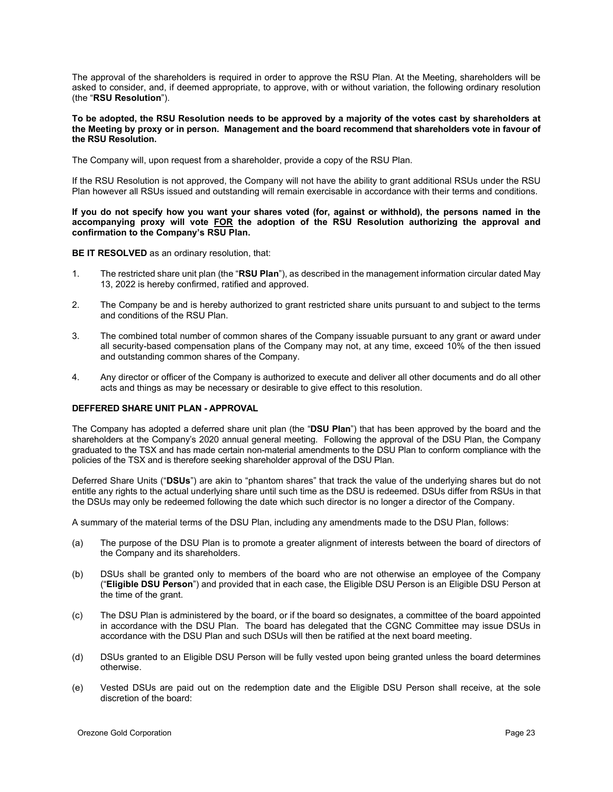The approval of the shareholders is required in order to approve the RSU Plan. At the Meeting, shareholders will be asked to consider, and, if deemed appropriate, to approve, with or without variation, the following ordinary resolution (the "**RSU Resolution**").

### **To be adopted, the RSU Resolution needs to be approved by a majority of the votes cast by shareholders at the Meeting by proxy or in person. Management and the board recommend that shareholders vote in favour of the RSU Resolution.**

The Company will, upon request from a shareholder, provide a copy of the RSU Plan.

If the RSU Resolution is not approved, the Company will not have the ability to grant additional RSUs under the RSU Plan however all RSUs issued and outstanding will remain exercisable in accordance with their terms and conditions.

**If you do not specify how you want your shares voted (for, against or withhold), the persons named in the accompanying proxy will vote FOR the adoption of the RSU Resolution authorizing the approval and confirmation to the Company's RSU Plan.**

**BE IT RESOLVED** as an ordinary resolution, that:

- 1. The restricted share unit plan (the "**RSU Plan**"), as described in the management information circular dated May 13, 2022 is hereby confirmed, ratified and approved.
- 2. The Company be and is hereby authorized to grant restricted share units pursuant to and subject to the terms and conditions of the RSU Plan.
- 3. The combined total number of common shares of the Company issuable pursuant to any grant or award under all security-based compensation plans of the Company may not, at any time, exceed 10% of the then issued and outstanding common shares of the Company.
- 4. Any director or officer of the Company is authorized to execute and deliver all other documents and do all other acts and things as may be necessary or desirable to give effect to this resolution.

### <span id="page-25-0"></span>**DEFFERED SHARE UNIT PLAN - APPROVAL**

The Company has adopted a deferred share unit plan (the "**DSU Plan**") that has been approved by the board and the shareholders at the Company's 2020 annual general meeting. Following the approval of the DSU Plan, the Company graduated to the TSX and has made certain non-material amendments to the DSU Plan to conform compliance with the policies of the TSX and is therefore seeking shareholder approval of the DSU Plan.

Deferred Share Units ("**DSUs**") are akin to "phantom shares" that track the value of the underlying shares but do not entitle any rights to the actual underlying share until such time as the DSU is redeemed. DSUs differ from RSUs in that the DSUs may only be redeemed following the date which such director is no longer a director of the Company.

A summary of the material terms of the DSU Plan, including any amendments made to the DSU Plan, follows:

- (a) The purpose of the DSU Plan is to promote a greater alignment of interests between the board of directors of the Company and its shareholders.
- (b) DSUs shall be granted only to members of the board who are not otherwise an employee of the Company ("**Eligible DSU Person**") and provided that in each case, the Eligible DSU Person is an Eligible DSU Person at the time of the grant.
- (c) The DSU Plan is administered by the board, or if the board so designates, a committee of the board appointed in accordance with the DSU Plan. The board has delegated that the CGNC Committee may issue DSUs in accordance with the DSU Plan and such DSUs will then be ratified at the next board meeting.
- (d) DSUs granted to an Eligible DSU Person will be fully vested upon being granted unless the board determines otherwise.
- (e) Vested DSUs are paid out on the redemption date and the Eligible DSU Person shall receive, at the sole discretion of the board: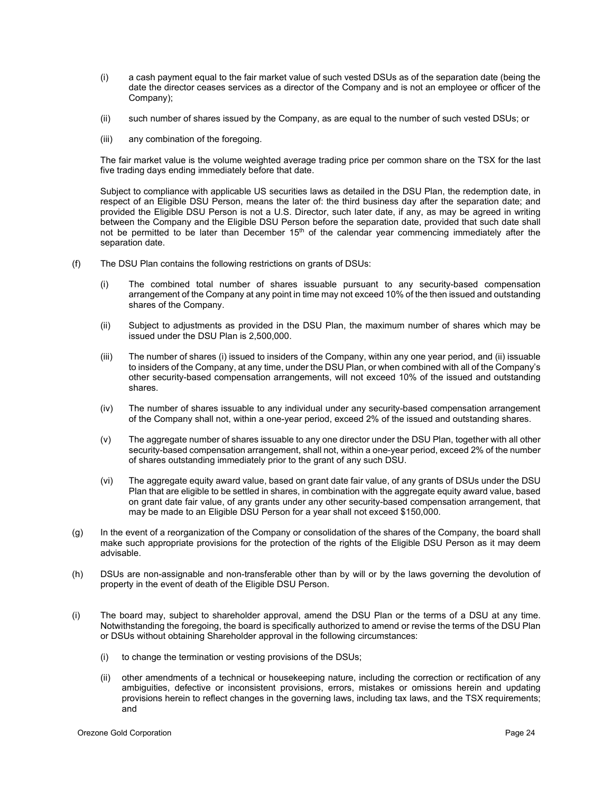- (i) a cash payment equal to the fair market value of such vested DSUs as of the separation date (being the date the director ceases services as a director of the Company and is not an employee or officer of the Company);
- (ii) such number of shares issued by the Company, as are equal to the number of such vested DSUs; or
- (iii) any combination of the foregoing.

The fair market value is the volume weighted average trading price per common share on the TSX for the last five trading days ending immediately before that date.

Subject to compliance with applicable US securities laws as detailed in the DSU Plan, the redemption date, in respect of an Eligible DSU Person, means the later of: the third business day after the separation date; and provided the Eligible DSU Person is not a U.S. Director, such later date, if any, as may be agreed in writing between the Company and the Eligible DSU Person before the separation date, provided that such date shall not be permitted to be later than December  $15<sup>th</sup>$  of the calendar year commencing immediately after the separation date.

- (f) The DSU Plan contains the following restrictions on grants of DSUs:
	- (i) The combined total number of shares issuable pursuant to any security-based compensation arrangement of the Company at any point in time may not exceed 10% of the then issued and outstanding shares of the Company.
	- (ii) Subject to adjustments as provided in the DSU Plan, the maximum number of shares which may be issued under the DSU Plan is 2,500,000.
	- (iii) The number of shares (i) issued to insiders of the Company, within any one year period, and (ii) issuable to insiders of the Company, at any time, under the DSU Plan, or when combined with all of the Company's other security-based compensation arrangements, will not exceed 10% of the issued and outstanding shares.
	- (iv) The number of shares issuable to any individual under any security-based compensation arrangement of the Company shall not, within a one-year period, exceed 2% of the issued and outstanding shares.
	- (v) The aggregate number of shares issuable to any one director under the DSU Plan, together with all other security-based compensation arrangement, shall not, within a one-year period, exceed 2% of the number of shares outstanding immediately prior to the grant of any such DSU.
	- (vi) The aggregate equity award value, based on grant date fair value, of any grants of DSUs under the DSU Plan that are eligible to be settled in shares, in combination with the aggregate equity award value, based on grant date fair value, of any grants under any other security-based compensation arrangement, that may be made to an Eligible DSU Person for a year shall not exceed \$150,000.
- (g) In the event of a reorganization of the Company or consolidation of the shares of the Company, the board shall make such appropriate provisions for the protection of the rights of the Eligible DSU Person as it may deem advisable.
- (h) DSUs are non-assignable and non-transferable other than by will or by the laws governing the devolution of property in the event of death of the Eligible DSU Person.
- (i) The board may, subject to shareholder approval, amend the DSU Plan or the terms of a DSU at any time. Notwithstanding the foregoing, the board is specifically authorized to amend or revise the terms of the DSU Plan or DSUs without obtaining Shareholder approval in the following circumstances:
	- (i) to change the termination or vesting provisions of the DSUs;
	- (ii) other amendments of a technical or housekeeping nature, including the correction or rectification of any ambiguities, defective or inconsistent provisions, errors, mistakes or omissions herein and updating provisions herein to reflect changes in the governing laws, including tax laws, and the TSX requirements; and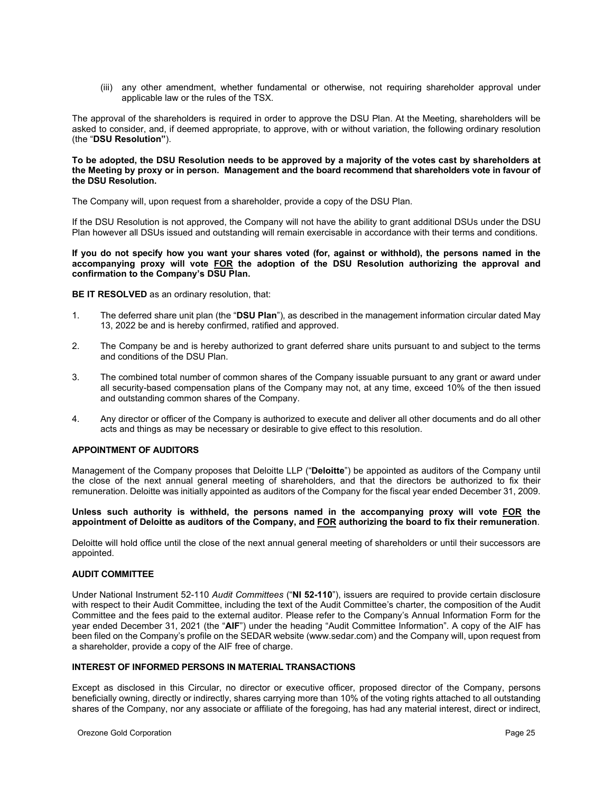(iii) any other amendment, whether fundamental or otherwise, not requiring shareholder approval under applicable law or the rules of the TSX.

The approval of the shareholders is required in order to approve the DSU Plan. At the Meeting, shareholders will be asked to consider, and, if deemed appropriate, to approve, with or without variation, the following ordinary resolution (the "**DSU Resolution"**).

### **To be adopted, the DSU Resolution needs to be approved by a majority of the votes cast by shareholders at the Meeting by proxy or in person. Management and the board recommend that shareholders vote in favour of the DSU Resolution.**

The Company will, upon request from a shareholder, provide a copy of the DSU Plan.

If the DSU Resolution is not approved, the Company will not have the ability to grant additional DSUs under the DSU Plan however all DSUs issued and outstanding will remain exercisable in accordance with their terms and conditions.

**If you do not specify how you want your shares voted (for, against or withhold), the persons named in the accompanying proxy will vote FOR the adoption of the DSU Resolution authorizing the approval and confirmation to the Company's DSU Plan.**

### **BE IT RESOLVED** as an ordinary resolution, that:

- 1. The deferred share unit plan (the "**DSU Plan**"), as described in the management information circular dated May 13, 2022 be and is hereby confirmed, ratified and approved.
- 2. The Company be and is hereby authorized to grant deferred share units pursuant to and subject to the terms and conditions of the DSU Plan.
- 3. The combined total number of common shares of the Company issuable pursuant to any grant or award under all security-based compensation plans of the Company may not, at any time, exceed 10% of the then issued and outstanding common shares of the Company.
- 4. Any director or officer of the Company is authorized to execute and deliver all other documents and do all other acts and things as may be necessary or desirable to give effect to this resolution.

### <span id="page-27-0"></span>**APPOINTMENT OF AUDITORS**

Management of the Company proposes that Deloitte LLP ("**Deloitte**") be appointed as auditors of the Company until the close of the next annual general meeting of shareholders, and that the directors be authorized to fix their remuneration. Deloitte was initially appointed as auditors of the Company for the fiscal year ended December 31, 2009.

### **Unless such authority is withheld, the persons named in the accompanying proxy will vote FOR the appointment of Deloitte as auditors of the Company, and FOR authorizing the board to fix their remuneration**.

Deloitte will hold office until the close of the next annual general meeting of shareholders or until their successors are appointed.

### <span id="page-27-1"></span>**AUDIT COMMITTEE**

Under National Instrument 52-110 *Audit Committees* ("**NI 52-110**"), issuers are required to provide certain disclosure with respect to their Audit Committee, including the text of the Audit Committee's charter, the composition of the Audit Committee and the fees paid to the external auditor. Please refer to the Company's Annual Information Form for the year ended December 31, 2021 (the "**AIF**") under the heading "Audit Committee Information". A copy of the AIF has been filed on the Company's profile on the SEDAR website (www.sedar.com) and the Company will, upon request from a shareholder, provide a copy of the AIF free of charge.

### <span id="page-27-2"></span>**INTEREST OF INFORMED PERSONS IN MATERIAL TRANSACTIONS**

Except as disclosed in this Circular, no director or executive officer, proposed director of the Company, persons beneficially owning, directly or indirectly, shares carrying more than 10% of the voting rights attached to all outstanding shares of the Company, nor any associate or affiliate of the foregoing, has had any material interest, direct or indirect,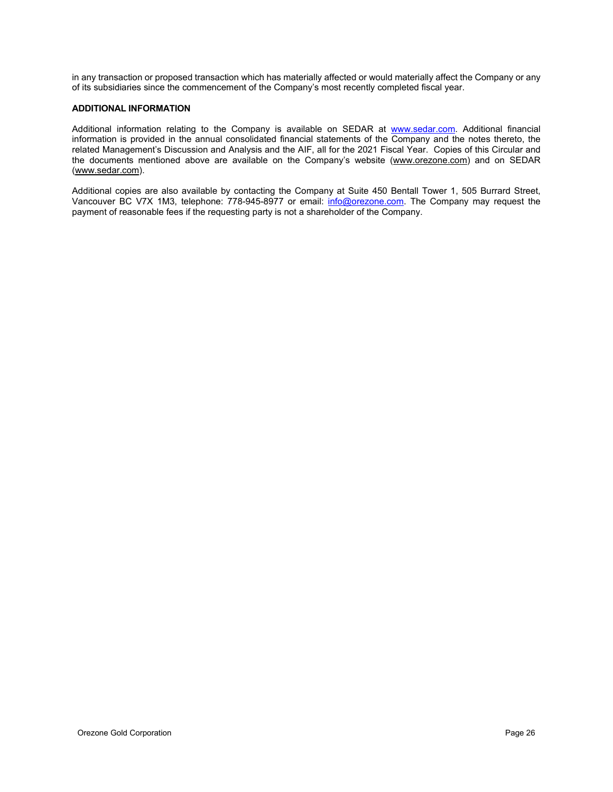in any transaction or proposed transaction which has materially affected or would materially affect the Company or any of its subsidiaries since the commencement of the Company's most recently completed fiscal year.

### <span id="page-28-0"></span>**ADDITIONAL INFORMATION**

Additional information relating to the Company is available on SEDAR at [www.sedar.com.](http://www.sedar.com/) Additional financial information is provided in the annual consolidated financial statements of the Company and the notes thereto, the related Management's Discussion and Analysis and the AIF, all for the 2021 Fiscal Year. Copies of this Circular and the documents mentioned above are available on the Company's website (www.orezone.com) and on SEDAR (www.sedar.com).

Additional copies are also available by contacting the Company at Suite 450 Bentall Tower 1, 505 Burrard Street, Vancouver BC V7X 1M3, telephone: 778-945-8977 or email: [info@orezone.com.](mailto:info@orezone.com) The Company may request the payment of reasonable fees if the requesting party is not a shareholder of the Company.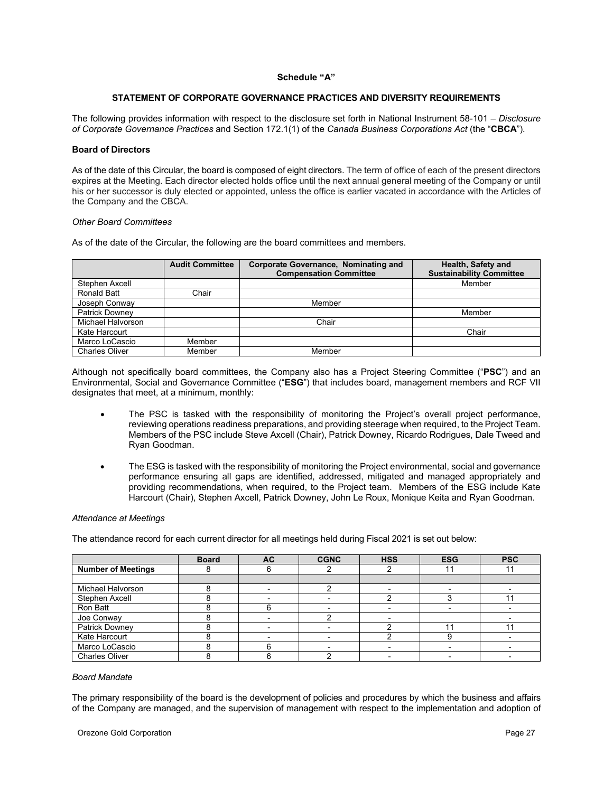### **Schedule "A"**

### **STATEMENT OF CORPORATE GOVERNANCE PRACTICES AND DIVERSITY REQUIREMENTS**

<span id="page-29-0"></span>The following provides information with respect to the disclosure set forth in National Instrument 58-101 – *Disclosure of Corporate Governance Practices* and Section 172.1(1) of the *Canada Business Corporations Act* (the "**CBCA**")*.*

### **Board of Directors**

As of the date of this Circular, the board is composed of eight directors. The term of office of each of the present directors expires at the Meeting. Each director elected holds office until the next annual general meeting of the Company or until his or her successor is duly elected or appointed, unless the office is earlier vacated in accordance with the Articles of the Company and the CBCA.

### *Other Board Committees*

As of the date of the Circular, the following are the board committees and members.

|                       | <b>Audit Committee</b> | <b>Corporate Governance, Nominating and</b> | Health, Safety and              |
|-----------------------|------------------------|---------------------------------------------|---------------------------------|
|                       |                        | <b>Compensation Committee</b>               | <b>Sustainability Committee</b> |
| Stephen Axcell        |                        |                                             | Member                          |
| <b>Ronald Batt</b>    | Chair                  |                                             |                                 |
| Joseph Conway         |                        | Member                                      |                                 |
| <b>Patrick Downey</b> |                        |                                             | Member                          |
| Michael Halvorson     |                        | Chair                                       |                                 |
| Kate Harcourt         |                        |                                             | Chair                           |
| Marco LoCascio        | Member                 |                                             |                                 |
| <b>Charles Oliver</b> | Member                 | Member                                      |                                 |

Although not specifically board committees, the Company also has a Project Steering Committee ("**PSC**") and an Environmental, Social and Governance Committee ("**ESG**") that includes board, management members and RCF VII designates that meet, at a minimum, monthly:

- The PSC is tasked with the responsibility of monitoring the Project's overall project performance, reviewing operations readiness preparations, and providing steerage when required, to the Project Team. Members of the PSC include Steve Axcell (Chair), Patrick Downey, Ricardo Rodrigues, Dale Tweed and Ryan Goodman.
- The ESG is tasked with the responsibility of monitoring the Project environmental, social and governance performance ensuring all gaps are identified, addressed, mitigated and managed appropriately and providing recommendations, when required, to the Project team. Members of the ESG include Kate Harcourt (Chair), Stephen Axcell, Patrick Downey, John Le Roux, Monique Keita and Ryan Goodman.

### *Attendance at Meetings*

The attendance record for each current director for all meetings held during Fiscal 2021 is set out below:

|                           | <b>Board</b> | <b>AC</b> | <b>CGNC</b> | <b>HSS</b> | <b>ESG</b> | <b>PSC</b> |
|---------------------------|--------------|-----------|-------------|------------|------------|------------|
| <b>Number of Meetings</b> |              |           |             |            |            |            |
|                           |              |           |             |            |            |            |
| Michael Halvorson         |              |           |             |            |            |            |
| Stephen Axcell            |              |           |             |            |            |            |
| Ron Batt                  |              |           |             |            |            |            |
| Joe Conway                |              |           |             |            |            |            |
| Patrick Downey            |              |           |             |            |            |            |
| Kate Harcourt             |              |           |             |            |            |            |
| Marco LoCascio            |              |           |             |            |            |            |
| <b>Charles Oliver</b>     |              |           |             |            |            |            |

### *Board Mandate*

The primary responsibility of the board is the development of policies and procedures by which the business and affairs of the Company are managed, and the supervision of management with respect to the implementation and adoption of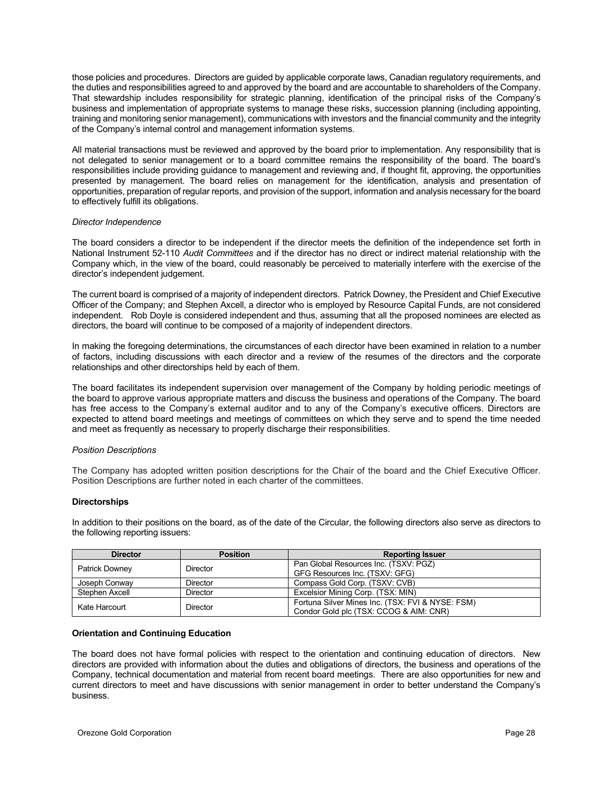those policies and procedures. Directors are guided by applicable corporate laws, Canadian regulatory requirements, and the duties and responsibilities agreed to and approved by the board and are accountable to shareholders of the Company. That stewardship includes responsibility for strategic planning, identification of the principal risks of the Company's business and implementation of appropriate systems to manage these risks, succession planning (including appointing, training and monitoring senior management), communications with investors and the financial community and the integrity of the Company's internal control and management information systems.

All material transactions must be reviewed and approved by the board prior to implementation. Any responsibility that is not delegated to senior management or to a board committee remains the responsibility of the board. The board's responsibilities include providing guidance to management and reviewing and, if thought fit, approving, the opportunities presented by management. The board relies on management for the identification, analysis and presentation of opportunities, preparation of regular reports, and provision of the support, information and analysis necessary for the board to effectively fulfill its obligations.

### *Director Independence*

The board considers a director to be independent if the director meets the definition of the independence set forth in National Instrument 52-110 *Audit Committees* and if the director has no direct or indirect material relationship with the Company which, in the view of the board, could reasonably be perceived to materially interfere with the exercise of the director's independent judgement.

The current board is comprised of a majority of independent directors. Patrick Downey, the President and Chief Executive Officer of the Company; and Stephen Axcell, a director who is employed by Resource Capital Funds, are not considered independent. Rob Doyle is considered independent and thus, assuming that all the proposed nominees are elected as directors, the board will continue to be composed of a majority of independent directors.

In making the foregoing determinations, the circumstances of each director have been examined in relation to a number of factors, including discussions with each director and a review of the resumes of the directors and the corporate relationships and other directorships held by each of them.

The board facilitates its independent supervision over management of the Company by holding periodic meetings of the board to approve various appropriate matters and discuss the business and operations of the Company. The board has free access to the Company's external auditor and to any of the Company's executive officers. Directors are expected to attend board meetings and meetings of committees on which they serve and to spend the time needed and meet as frequently as necessary to properly discharge their responsibilities.

### *Position Descriptions*

The Company has adopted written position descriptions for the Chair of the board and the Chief Executive Officer. Position Descriptions are further noted in each charter of the committees.

### **Directorships**

In addition to their positions on the board, as of the date of the Circular, the following directors also serve as directors to the following reporting issuers:

| <b>Director</b>            | <b>Position</b> | <b>Reporting Issuer</b>                          |
|----------------------------|-----------------|--------------------------------------------------|
| Director<br>Patrick Downey |                 | Pan Global Resources Inc. (TSXV: PGZ)            |
|                            |                 | GFG Resources Inc. (TSXV: GFG)                   |
| Joseph Conway              | Director        | Compass Gold Corp. (TSXV: CVB)                   |
| Stephen Axcell             | Director        | Excelsior Mining Corp. (TSX: MIN)                |
| Kate Harcourt              | Director        | Fortuna Silver Mines Inc. (TSX: FVI & NYSE: FSM) |
|                            |                 | Condor Gold plc (TSX: CCOG & AIM: CNR)           |

### **Orientation and Continuing Education**

The board does not have formal policies with respect to the orientation and continuing education of directors. New directors are provided with information about the duties and obligations of directors, the business and operations of the Company, technical documentation and material from recent board meetings. There are also opportunities for new and current directors to meet and have discussions with senior management in order to better understand the Company's business.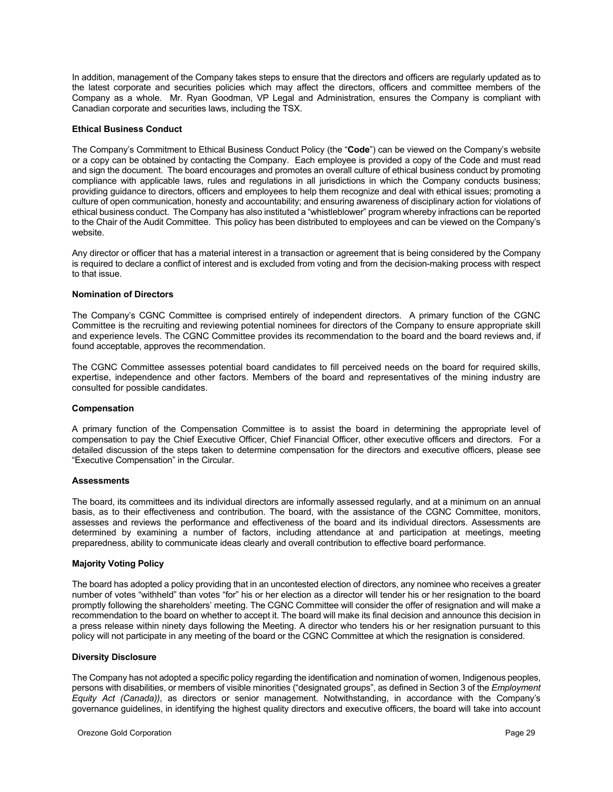In addition, management of the Company takes steps to ensure that the directors and officers are regularly updated as to the latest corporate and securities policies which may affect the directors, officers and committee members of the Company as a whole. Mr. Ryan Goodman, VP Legal and Administration, ensures the Company is compliant with Canadian corporate and securities laws, including the TSX.

### **Ethical Business Conduct**

The Company's Commitment to Ethical Business Conduct Policy (the "**Code**") can be viewed on the Company's website or a copy can be obtained by contacting the Company. Each employee is provided a copy of the Code and must read and sign the document. The board encourages and promotes an overall culture of ethical business conduct by promoting compliance with applicable laws, rules and regulations in all jurisdictions in which the Company conducts business; providing guidance to directors, officers and employees to help them recognize and deal with ethical issues; promoting a culture of open communication, honesty and accountability; and ensuring awareness of disciplinary action for violations of ethical business conduct. The Company has also instituted a "whistleblower" program whereby infractions can be reported to the Chair of the Audit Committee. This policy has been distributed to employees and can be viewed on the Company's website.

Any director or officer that has a material interest in a transaction or agreement that is being considered by the Company is required to declare a conflict of interest and is excluded from voting and from the decision-making process with respect to that issue.

### **Nomination of Directors**

The Company's CGNC Committee is comprised entirely of independent directors. A primary function of the CGNC Committee is the recruiting and reviewing potential nominees for directors of the Company to ensure appropriate skill and experience levels. The CGNC Committee provides its recommendation to the board and the board reviews and, if found acceptable, approves the recommendation.

The CGNC Committee assesses potential board candidates to fill perceived needs on the board for required skills, expertise, independence and other factors. Members of the board and representatives of the mining industry are consulted for possible candidates.

### **Compensation**

A primary function of the Compensation Committee is to assist the board in determining the appropriate level of compensation to pay the Chief Executive Officer, Chief Financial Officer, other executive officers and directors. For a detailed discussion of the steps taken to determine compensation for the directors and executive officers, please see "Executive Compensation" in the Circular.

### **Assessments**

The board, its committees and its individual directors are informally assessed regularly, and at a minimum on an annual basis, as to their effectiveness and contribution. The board, with the assistance of the CGNC Committee, monitors, assesses and reviews the performance and effectiveness of the board and its individual directors. Assessments are determined by examining a number of factors, including attendance at and participation at meetings, meeting preparedness, ability to communicate ideas clearly and overall contribution to effective board performance.

### **Majority Voting Policy**

The board has adopted a policy providing that in an uncontested election of directors, any nominee who receives a greater number of votes "withheld" than votes "for" his or her election as a director will tender his or her resignation to the board promptly following the shareholders' meeting. The CGNC Committee will consider the offer of resignation and will make a recommendation to the board on whether to accept it. The board will make its final decision and announce this decision in a press release within ninety days following the Meeting. A director who tenders his or her resignation pursuant to this policy will not participate in any meeting of the board or the CGNC Committee at which the resignation is considered.

### **Diversity Disclosure**

The Company has not adopted a specific policy regarding the identification and nomination of women, Indigenous peoples, persons with disabilities, or members of visible minorities ("designated groups", as defined in Section 3 of the *Employment Equity Act (Canada))*, as directors or senior management. Notwithstanding, in accordance with the Company's governance guidelines, in identifying the highest quality directors and executive officers, the board will take into account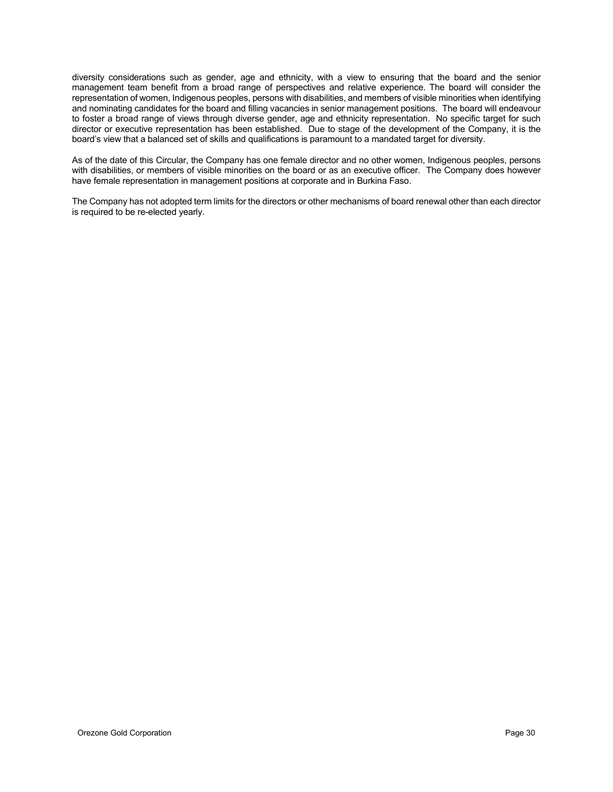diversity considerations such as gender, age and ethnicity, with a view to ensuring that the board and the senior management team benefit from a broad range of perspectives and relative experience. The board will consider the representation of women, Indigenous peoples, persons with disabilities, and members of visible minorities when identifying and nominating candidates for the board and filling vacancies in senior management positions. The board will endeavour to foster a broad range of views through diverse gender, age and ethnicity representation. No specific target for such director or executive representation has been established. Due to stage of the development of the Company, it is the board's view that a balanced set of skills and qualifications is paramount to a mandated target for diversity.

As of the date of this Circular, the Company has one female director and no other women, Indigenous peoples, persons with disabilities, or members of visible minorities on the board or as an executive officer. The Company does however have female representation in management positions at corporate and in Burkina Faso.

The Company has not adopted term limits for the directors or other mechanisms of board renewal other than each director is required to be re-elected yearly.